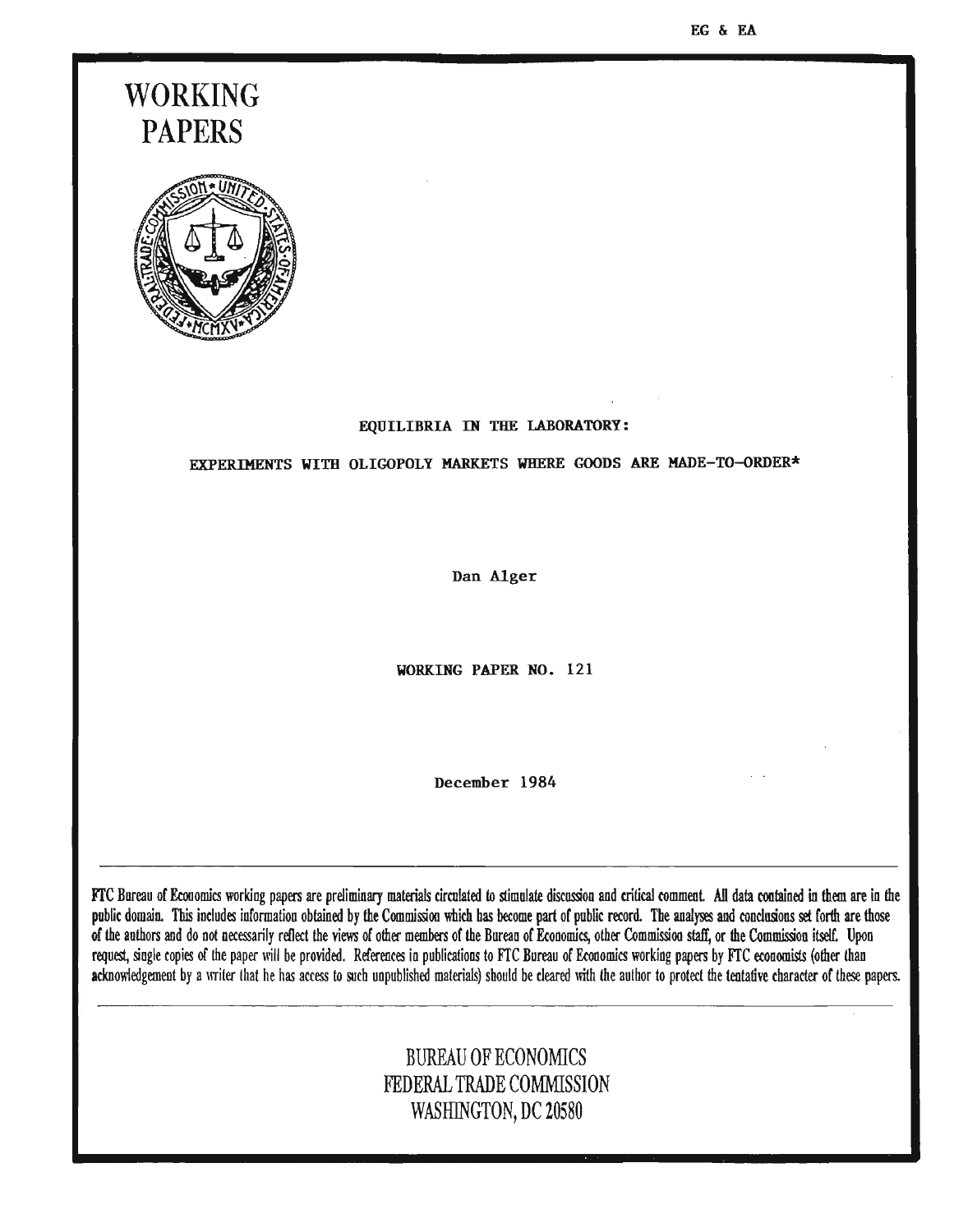EG & EA

# **WORKING PAPERS**



#### EQUILIBRIA IN THE LABORATORY:

EXPERIMENTS WITH OLIGOPOLY MARKETS WHERE GOODS ARE MADE-TD-ORDER\*

Dan Alger

WORKING PAPER NO. 121

December 1984

FfC Bureau of Economics working papers are preliminary materials circulated to stimulate discussion and critical comment All data contained in them are in the public domain. This includes information obtained by the Commission which has become part of public record. The analyses and conclusions set forth are those of the authors and do not necessarily reflect the views of other members of the Burean of Economics, other Commission staff, or the Commission itseIt Upon request, single copies of the paper will be provided. References in publications to FTC Bureau of Economics working papers by FTC economists (other than acknowledgement by a writer that he has access to such unpublished materials) should be cleared with the author to protect the tentative character of these papers.

# BUREAU OF ECONOMICS FEDERAL TRADE COMMISSION WASHINGTON, DC 20580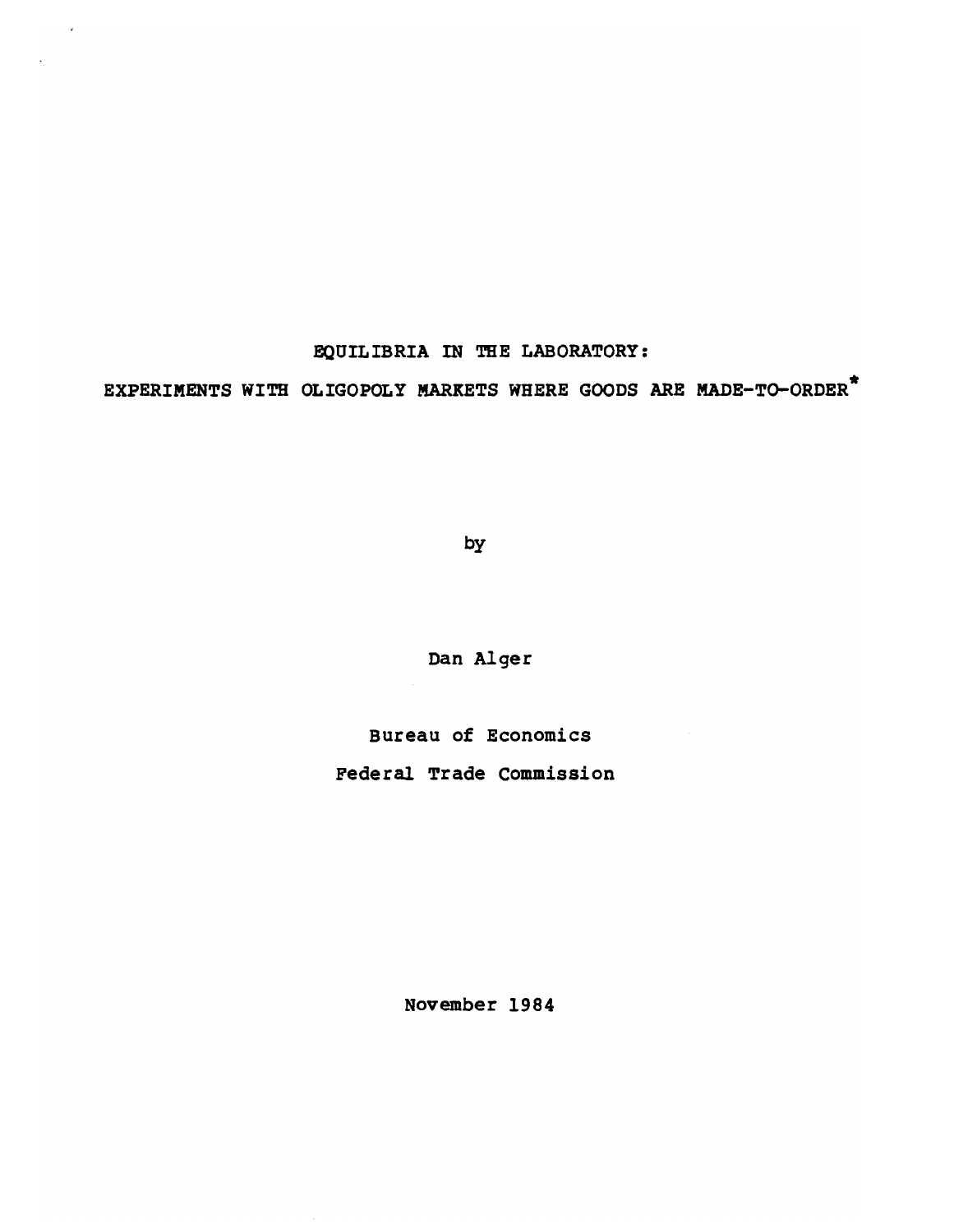## EQUILIBRIA IN THE LABORATORY:

 $\sim$   $\alpha$ 

EXPERIMENTS WITH OLIGOPOLY MARKETS WHERE GOODS ARE MADE-To-ORDER\*

by

Dan Alger

Bureau of Economics

Federal Trade Commission

November 1984

 $\bar{\tau}$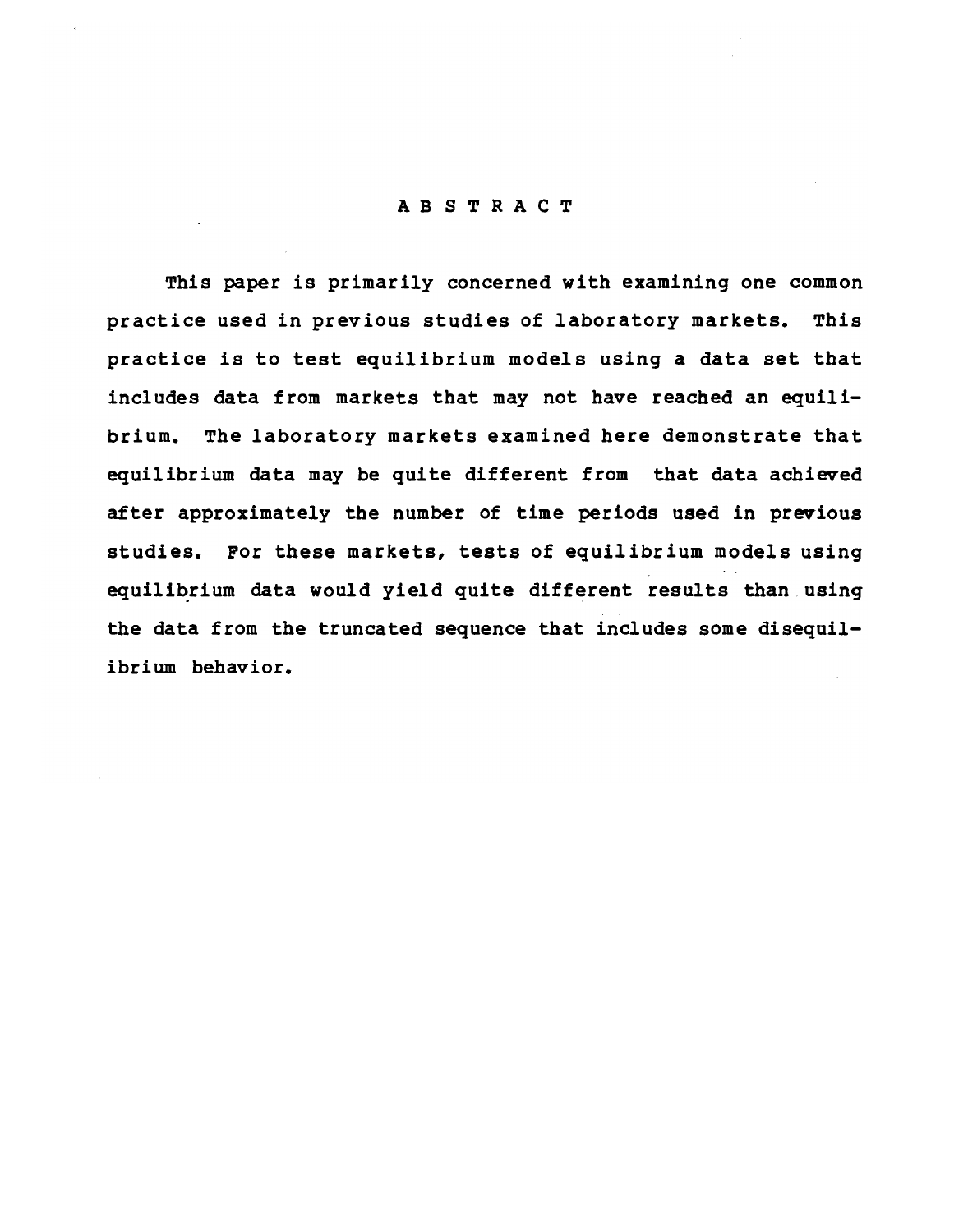### ABSTRACT

This paper is primarily concerned with examining one common practice used in previous studies of laboratory markets. This practice is to test equilibrium models using a data set that includes data from markets that may not have reached an equilibrium. The laboratory markets examined here demonstrate that equilibrium data may be quite different from that data achieved after approximately the number of time periods used in previous studies. For these markets, tests of equilibrium models using equilibrium data would yield quite different results than using the data from the truncated sequence that includes some disequilibrium behavior.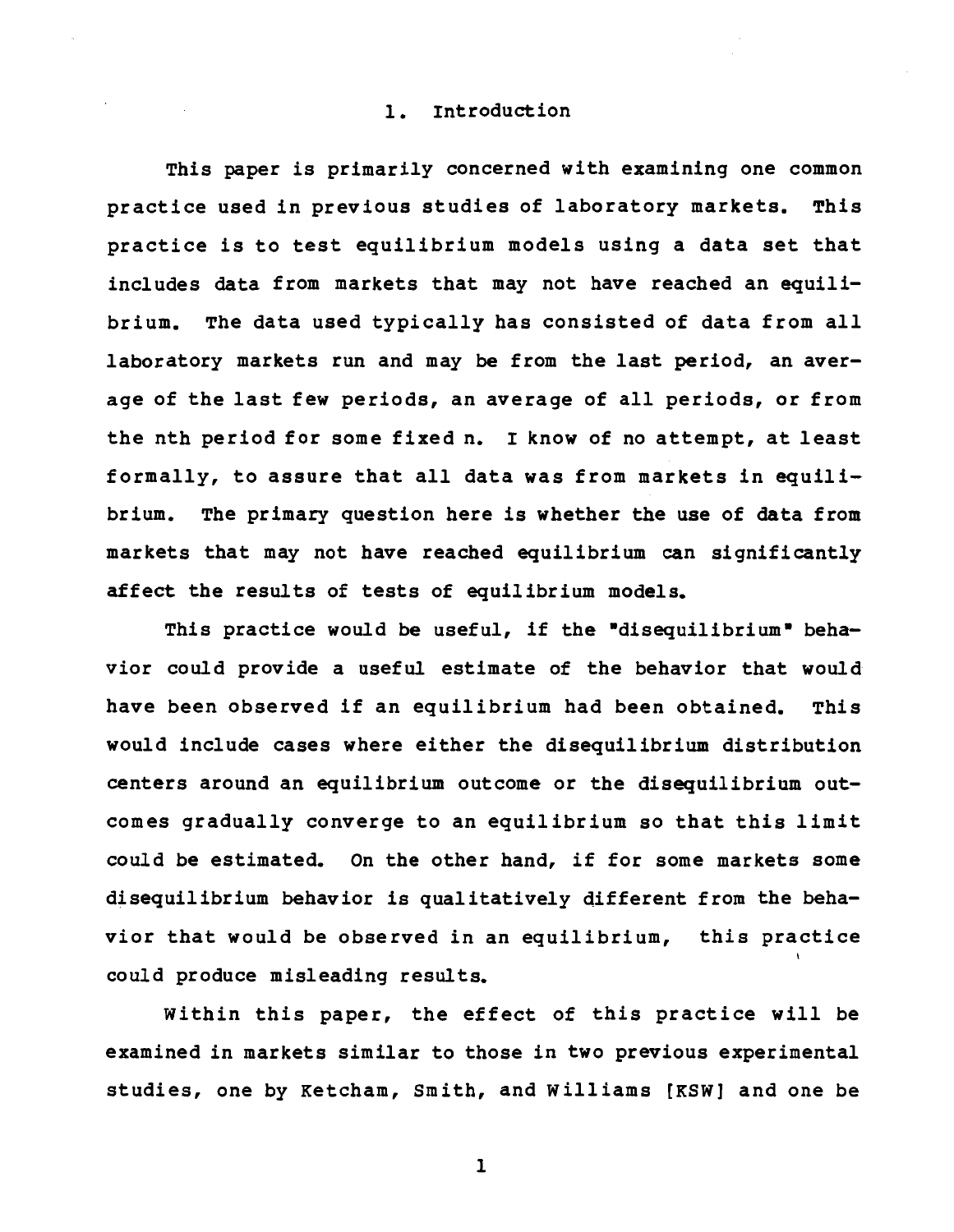#### 1. Introduction

This paper is primarily concerned with examining one common practice used in previous studies of laboratory markets. This practice is to test equilibrium models using a data set that includes data from markets that may not have reached an equilibrium. The data used typically has consisted of data from all laboratory markets run and may be from the last period, an average of the last few periods, an average of all periods, or from the nth period for some fixed n. I know of no attempt, at least formally, to assure that all data was from markets in equilibrium. The primary question here is whether the use of data from markets that may not have reached equilibrium can significantly affect the results of tests of equilibrium models.

This practice would be useful, if the "disequilibrium" behavior could provide a useful estimate of the behavior that would have been observed if an equilibrium had been obtained. This would include cases where either the disequilibrium distribution centers around an equilibrium outcome or the disequilibrium outcomes gradually converge to an equilibrium so that this limit could be estimated. On the other hand, if for some markets some disequilibrium behavior is qualitatively different from the behavior that would be observed in an equilibrium, this practice could produce misleading results.

Within this paper, the effect of this practice will be examined in markets similar to those in two previous experimental studies, one by Ketcham, Smith, and Williams [KSW} and one be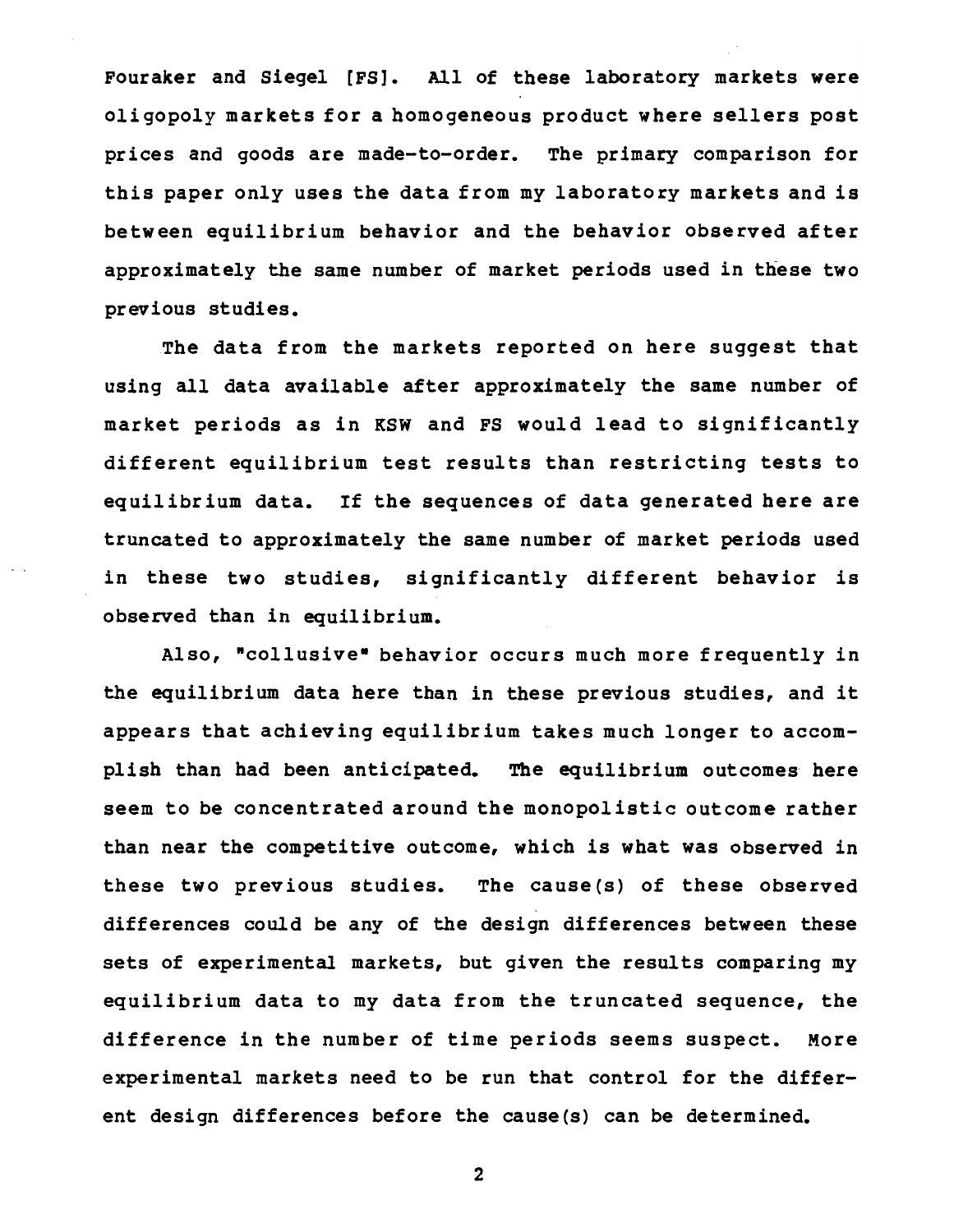Fouraker and Siegel [FS]. All of these laboratory markets were oligopoly markets for a homogeneous product where sellers post prices and goods are made-to-order. The primary comparison for this paper only uses the data from my laboratory markets and is between equilibrium behavior and the behavior observed after approximately the same number of market periods used in these two previous studies.

The data from the markets reported on here suggest that using all data available after approximately the same number of market periods as in KSW and FS would lead to significantly different equilibrium test results than restricting tests to equilibrium data. If the sequences of data generated here are truncated to approximately the same number of market periods used in these two studies, significantly different behavior is observed than in equilibrium.

Also, "collusive" behavior occurs much more frequently in the equilibrium data here than in these previous studies, and it appears that achieving equilibrium takes much longer to accomplish than had been anticipated. The equilibrium outcomes here seem to be concentrated around the monopolistic outcome rather than near the competitive outcome, which is what was observed in these two previous studies. The cause(s) of these observed differences could be any of the design differences between these sets of experimental markets, but given the results comparing my equilibrium data to my data from the truncated sequence, the difference in the number of time periods seems suspect. More experimental markets need to be run that control for the different design differences before the cause(s) can be determined.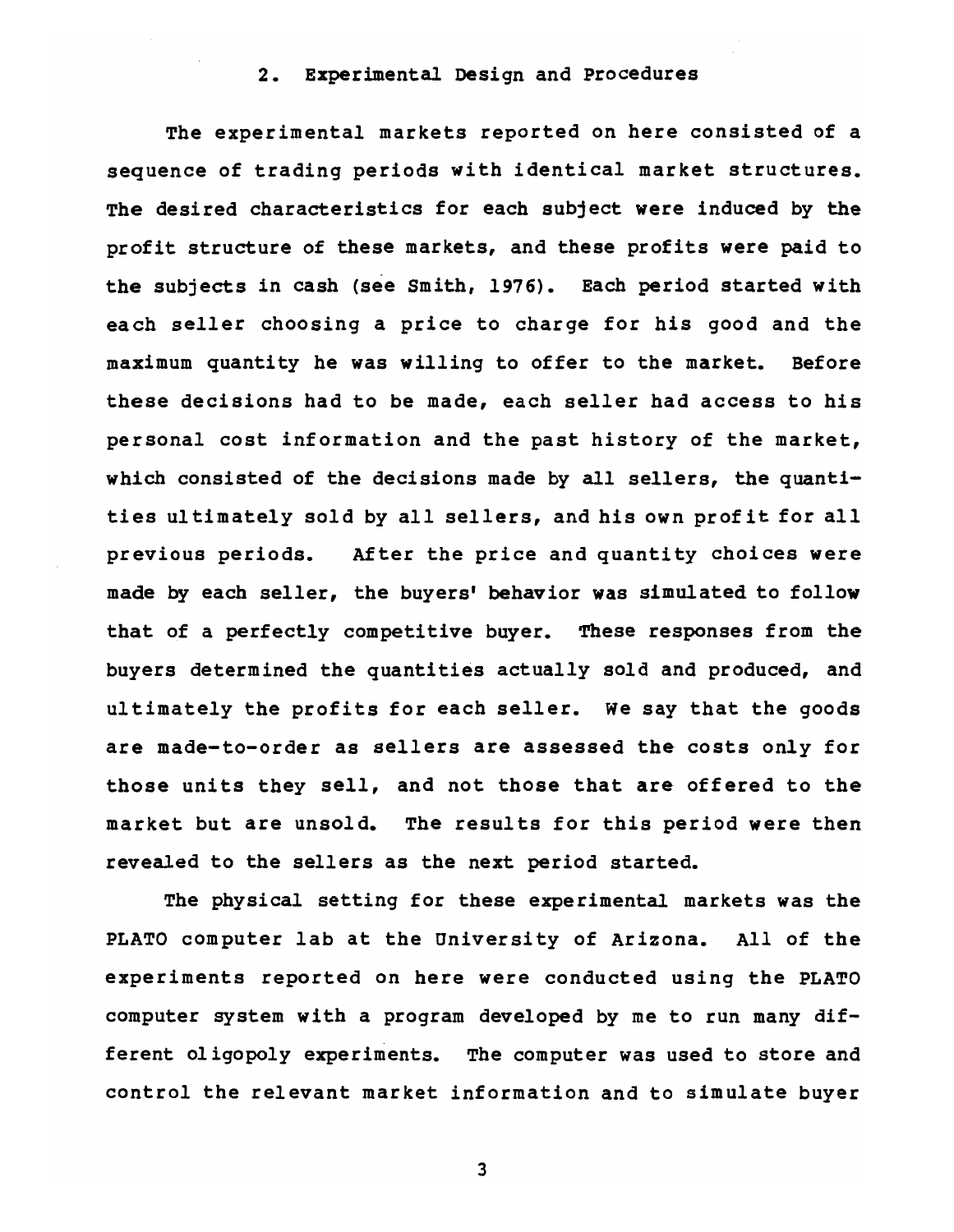### 2. Experimental Design and Procedures

The experimental markets reported on here consisted of a sequence of trading periods with identical market structures. The desired characteristics for each subject were induced by the profit structure of these markets, and these profits were paid to the subjects in cash (see Smith, 1976). Each period started with each seller choosing a price to charge for his good and the maximum quantity he was willing to offer to the market. Before these decisions had to be made, each seller had access to his personal cost information and the past history of the market, which consisted of the decisions made by all sellers, the quantities ul timately sold by all sellers, and his own prof it for all previous periods. After the price and quantity choices were made by each seller, the buyers' behavior was simulated to follow that of a perfectly competitive buyer. These responses from the buyers determined the quantities actually sold and produced, and ultimately the profits for each seller. We say that the goods are made-to-order as sellers are assessed the costs only for those units they sell, and not those that are offered to the market but are unsold. The results for this period were then revealed to the sellers as the next period started.

The physical setting for these experimental markets was the PLATO computer lab at the University of Arizona. All of the experiments reported on here were conducted using the PLATO computer system with a program developed by me to run many different oligopoly experiments. The computer was used to store and control the relevant market information and to simulate buyer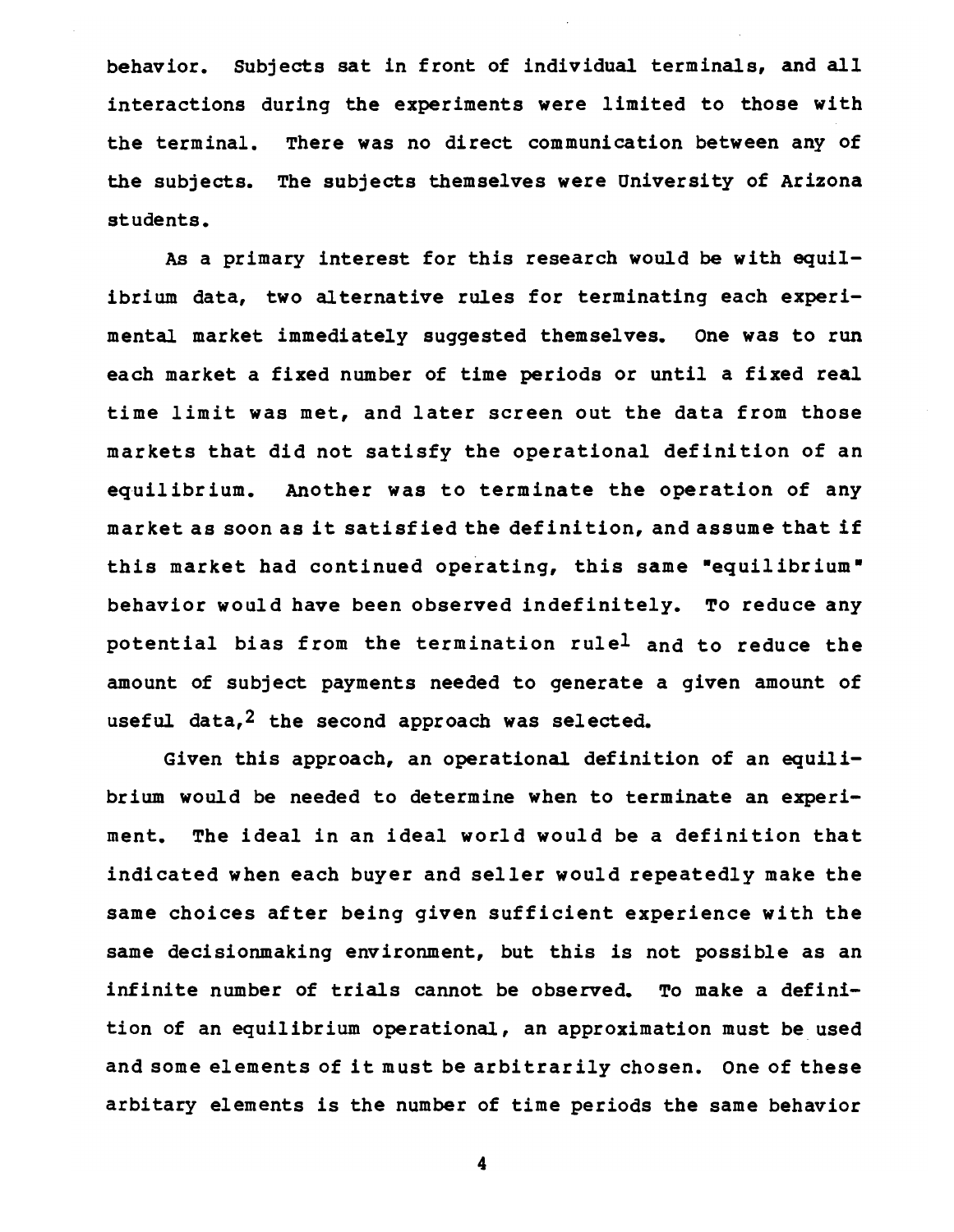behavior. SUbjects sat in front of individual terminals, and all interactions during the experiments were limited to those with the terminal. There was no direct communication between any of the subjects. The subjects themselves were University of Arizona students.

As a primary interest for this research would be with equilibrium data, two alternative rules for terminating each experimental market immediately suggested themselves. One was to run each market a fixed number of time periods or until a fixed real time limit was met, and later screen out the data from those markets that did not satisfy the operational definition of an equilibrium. Another was to terminate the operation of any market as soon as it satisfied the definition, and assume that if this market had continued operating, this same "equilibrium" behavior would have been observed indefini tely. To reduce any potential bias from the termination rulel and to reduce the amount of subject payments needed to generate a given amount of useful data,<sup>2</sup> the second approach was selected.

Given this approach, an operational definition of an equilibrium would be needed to determine when to terminate an experiment. The ideal in an ideal world would be a definition that indicated when each buyer and seller would repeatedly make the same choices after being given sufficient experience with the same decisionmaking environment, but this is not possible as an infinite number of trials cannot be observed. To make a definition of an equilibrium operational, an approximation must be used and some elements of it must be arbitrarily chosen. One of these arbitary elements is the number of time periods the same behavior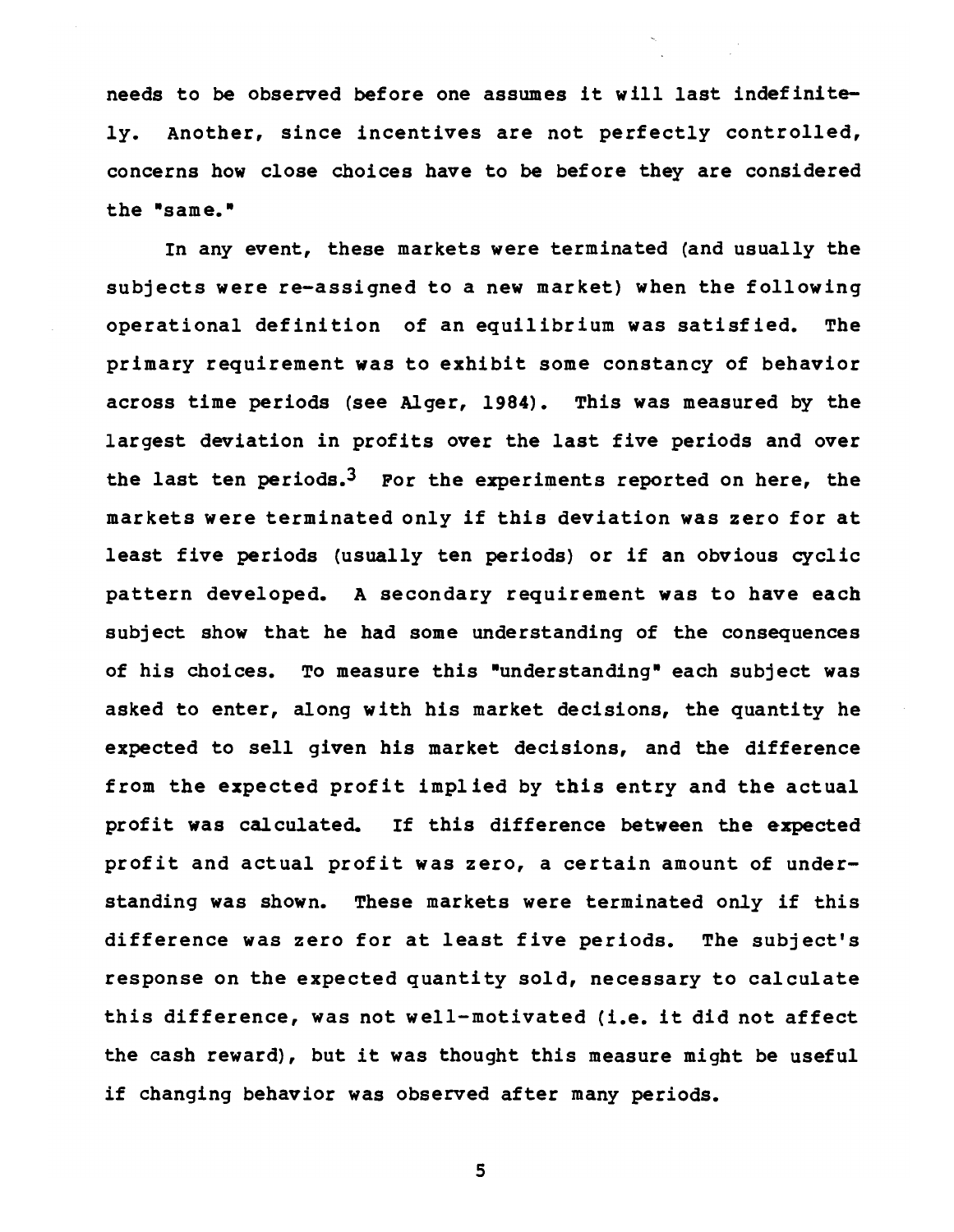needs to be observed before one assumes it will last indefinitely. Another, since incentives are not perfectly controlled, concerns how close choices have to be before they are considered the "same."

In any event, these markets were terminated (and usually the subjects were re-assigned to a new market) when the following operational definition of an equilibrium was satisfied. The primary requirement was to exhibit some constancy of behavior across time periods (see Alger, 1984). This was measured by the largest deviation in profits over the last five periods and over the last ten periods.<sup>3</sup> For the experiments reported on here, the markets were terminated only if this deviation was zero for at least five periods (usually ten periods) or if an obvious cyclic pattern developed. A secondary requirement was to have each subject show that he had some understanding of the consequences of his choices. To measure this "understanding" each subject was asked to enter, along with his market decisions, the quantity he expected to sell given his market decisions, and the difference from the expected profit implied by this entry and the actual profit was calculated. If this difference between the expected profit and actual profit was zero, a certain amount of understanding was shown. These markets were terminated only if this difference was zero for at least five periods. The subject's response on the expected quantity sold, necessary to calculate this difference, was not well-motivated (i.e. it did not affect the cash reward), but it was thought this measure might be useful if changing behavior was observed after many periods.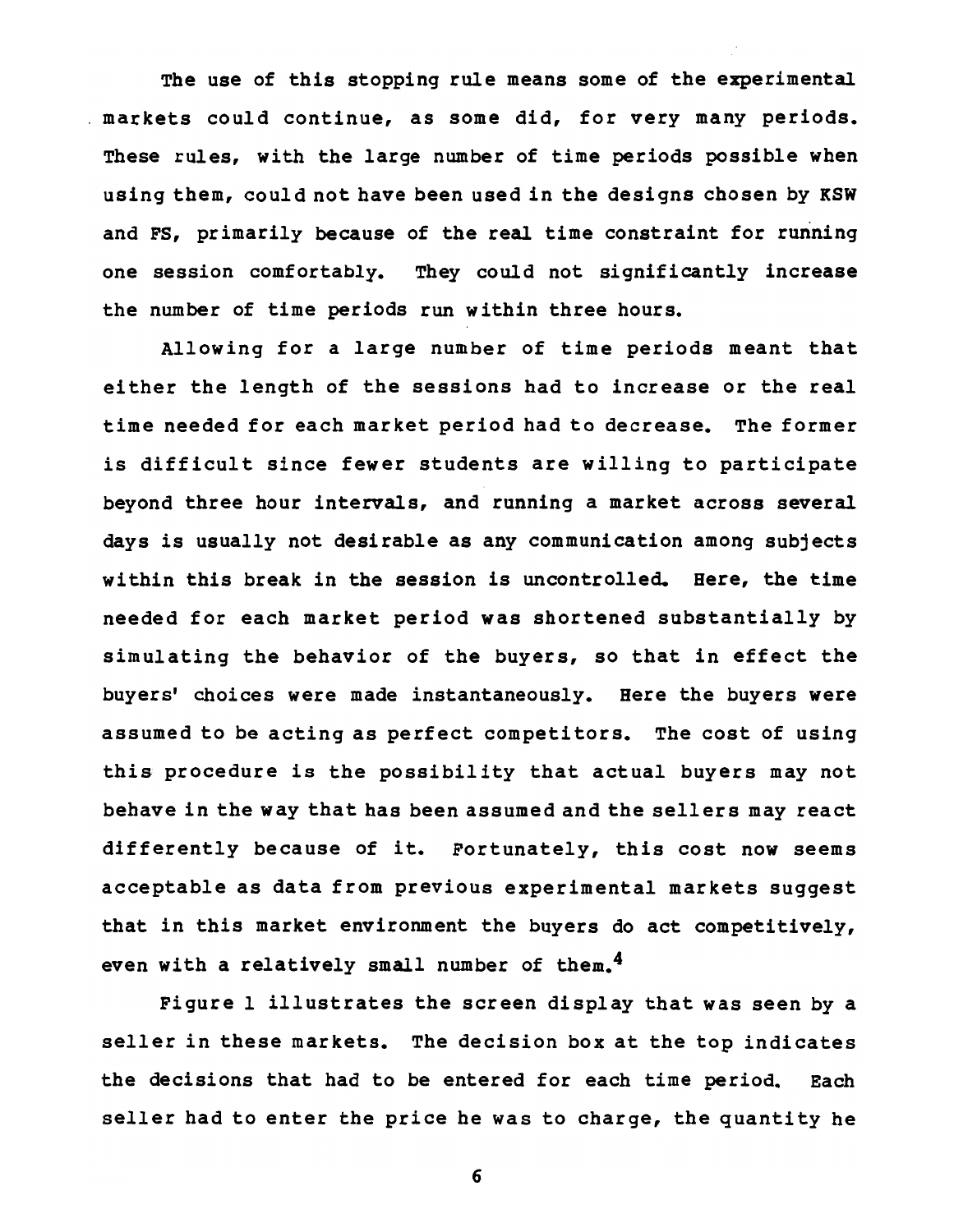The use of this stopping rule means some of the experimental markets could continue, as some did, for very many periods. These rules, with the large number of time periods possible when using them, could not have been used in the designs chosen by KSW and FS, primarily because of the real time constraint for running one session comfortably. They could not significantly increase the number of time periods run within three hours.

Allowing for a large number of time periods meant that either the length of the sessions had to increase or the real time needed for each market period had to decrease. The former is difficult since fewer students are willing to participate beyond three hour intervals, and running a market across several days is usually not desirable as any communication among subjects within this break in the session is uncontrolled. Here, the time needed for each market period was shortened substantially by simulating the behavior of the buyers, so that in effect the buyers' choices were made instantaneously. Here the buyers were assumed to be acting as perfect competitors. The cost of using this procedure is the possibility that actual buyers may not behave in the way that has been assumed and the sellers may react differently because of it. Fortunately, this cost now seems acceptable as data from previous experimental markets suggest that in this market environment the buyers do act competitively, even with a relatively small number of them. $<sup>4</sup>$ </sup>

Figure I illustrates the screen display that was seen by a seller in these markets. The decision box at the top indicates the decisions that had to be entered for each time period. Each seller had to enter the price he was to charge, the quantity he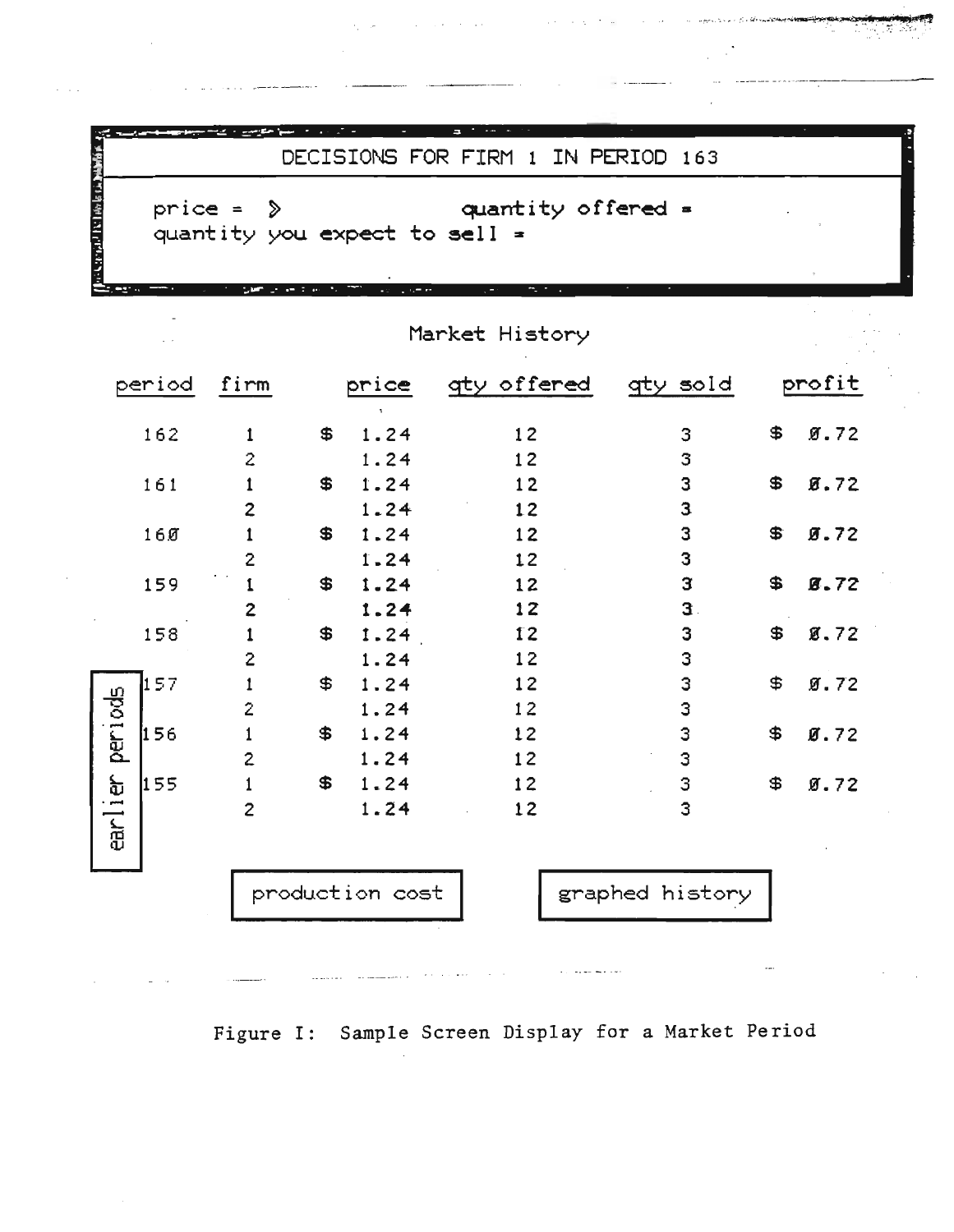|                        | price = $\Diamond$ |                |                                                       | quantity offered =<br>quantity you expect to sell = |              |                          |
|------------------------|--------------------|----------------|-------------------------------------------------------|-----------------------------------------------------|--------------|--------------------------|
|                        |                    | Sam Show I am  | $\alpha\in\mathbb{R}^n$ , $\alpha\in\mathbb{R}^n$ and | ÷.,                                                 |              |                          |
|                        |                    |                |                                                       | Market History                                      |              |                          |
| period                 |                    | firm           | price                                                 | gty offered                                         | gty sold     | profit                   |
| 162                    |                    | 1              | \$<br>$\mathbf{1}$<br>1.24                            | 12                                                  | 3            | \$<br>9.72               |
|                        |                    | $\mathbf{2}$   | 1.24                                                  | 12                                                  | 3            |                          |
| 161                    |                    | 1              | \$<br>1.24                                            | 12                                                  | 3            | \$<br>8.72               |
|                        |                    | $\overline{2}$ | 1.24                                                  | 12                                                  | 3            |                          |
| 160                    |                    | 1              | \$<br>1.24                                            | 12                                                  | 3            | \$<br>9.72               |
|                        |                    | 2              | 1.24                                                  | 12                                                  | 3            |                          |
| 159                    |                    | 1              | \$<br>1.24                                            | 12                                                  | 3            | \$<br>8.72               |
|                        |                    | $\mathbf{2}$   | 1.24                                                  | 12                                                  | $\mathbf{3}$ |                          |
| 158                    |                    | 1              | \$<br>1.24                                            | 12                                                  | 3            | \$<br>8.72               |
|                        |                    | 2              | 1.24                                                  | 12                                                  | 3            |                          |
| 157                    |                    | 1              | \$<br>1.24                                            | 12                                                  | 3            | \$<br>9.72               |
|                        |                    | 2              | 1.24                                                  | 12                                                  | 3            |                          |
| per 1 ods<br>156       |                    | 1              | \$<br>1.24                                            | 12                                                  | 3            | \$<br>$\mathfrak{g}$ .72 |
|                        |                    | $\overline{c}$ | 1.24                                                  | 12                                                  | 3            |                          |
| 155<br>1e <sub>r</sub> |                    |                | \$<br>1.24                                            | 12                                                  | з            | \$<br>9.72               |
| ear.                   |                    | 2              | 1.24                                                  | 12                                                  | 3            |                          |
|                        |                    |                |                                                       |                                                     |              |                          |

 $\hat{Q}$  , we can also assume that the contribution of the contribution of  $\hat{Q}$ 

 $\sim$   $\sim$ 

 $\sim$ 

Figure I: Sample Screen Display for a Market Period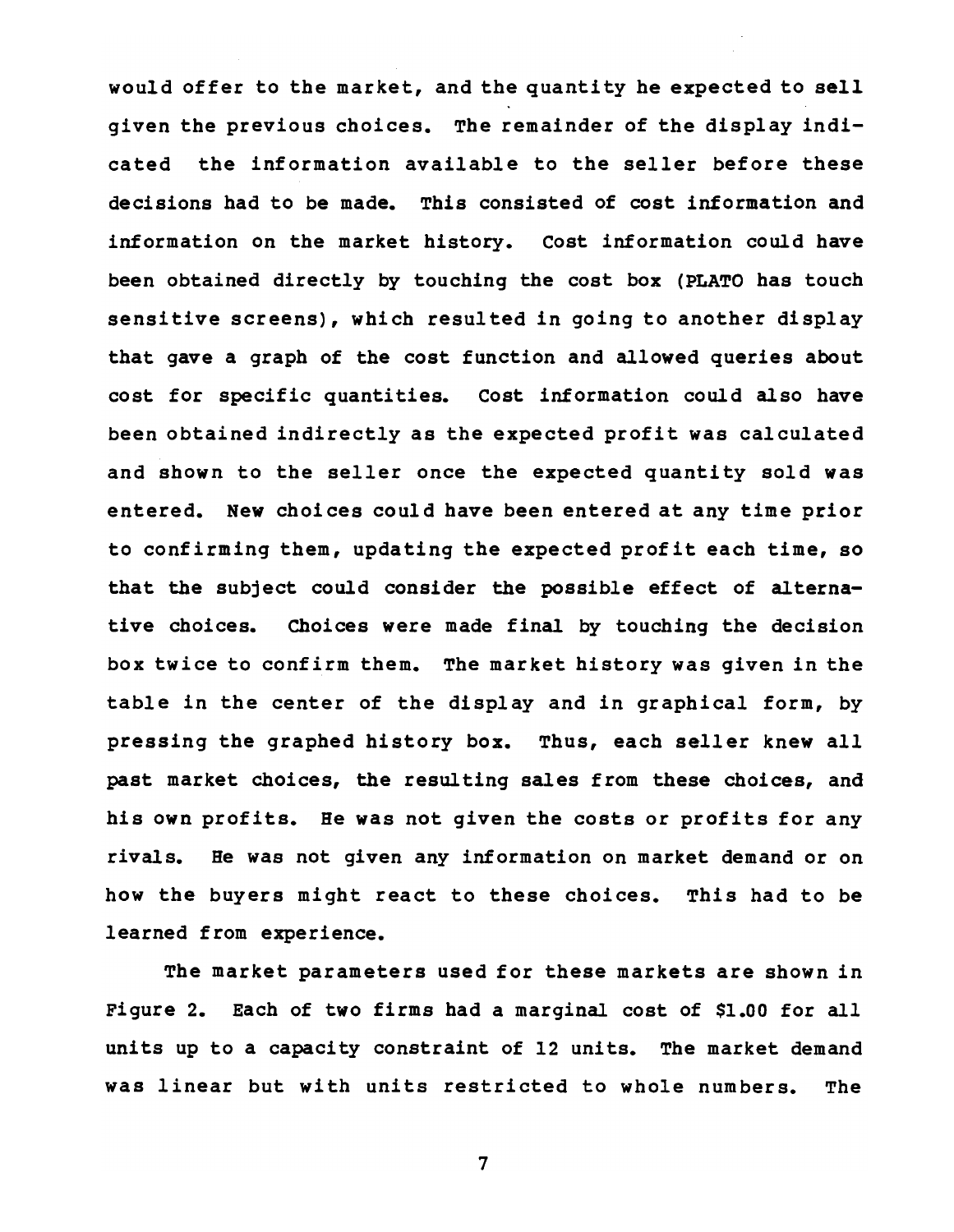would offer to the market, and the quantity he expected to sell given the previous choices. The remainder of the display indicated the information available to the seller before these decisions had to be made. This consisted of cost information and information on the market history. cost information could have been obtained directly by touching the cost box (PLATO has touch sensitive screens), which resulted in going to another display that gave a graph of the cost function and allowed queries about cost for specific quantities. cost information could also have been obtained indirectly as the expected profit was calculated and shown to the seller once the expected quantity sold was entered. New choices could have been entered at any time prior to confirming them, updating the expected profit each time, so that the subject could consider the possible effect of alternative choices. Choices were made final by touching the decision box twice to confirm them. The market history was given in the table in the center of the display and in graphical form, by pressing the graphed history box. Thus, each seller knew all past market choices, the resulting sales from these choices, and his own profits. He was not given the costs or profits for any rivals. He was not given any information on market demand or on how the buyers might react to these choices. This had to be learned from experience.

The market parameters used for these markets are shown in Figure 2. Each of two firms had a marginal cost of \$1.00 for all units up to a capacity constraint of 12 units. The market demand was linear but with units restricted to whole numbers. The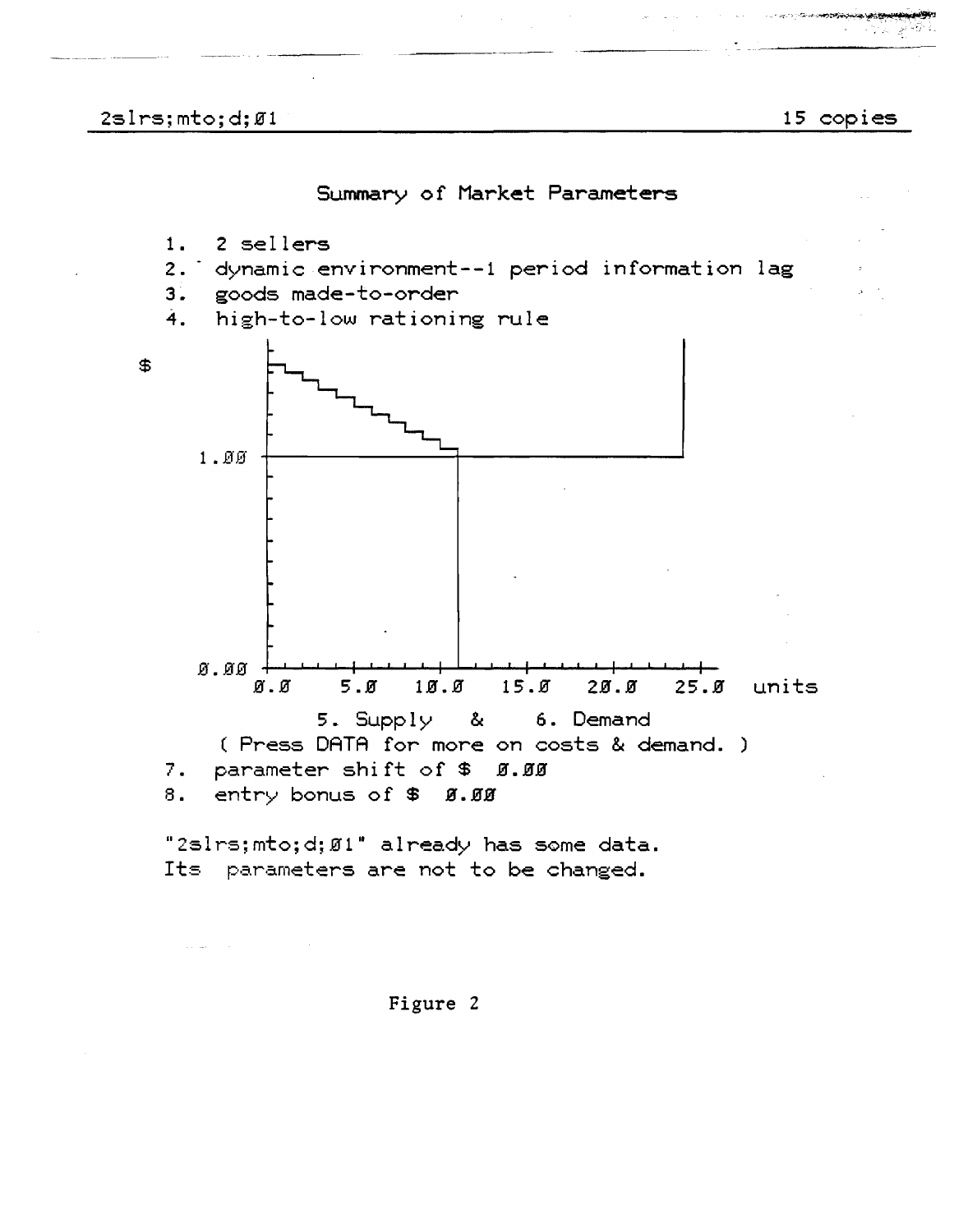

Summary of Market Parameters

Figure 2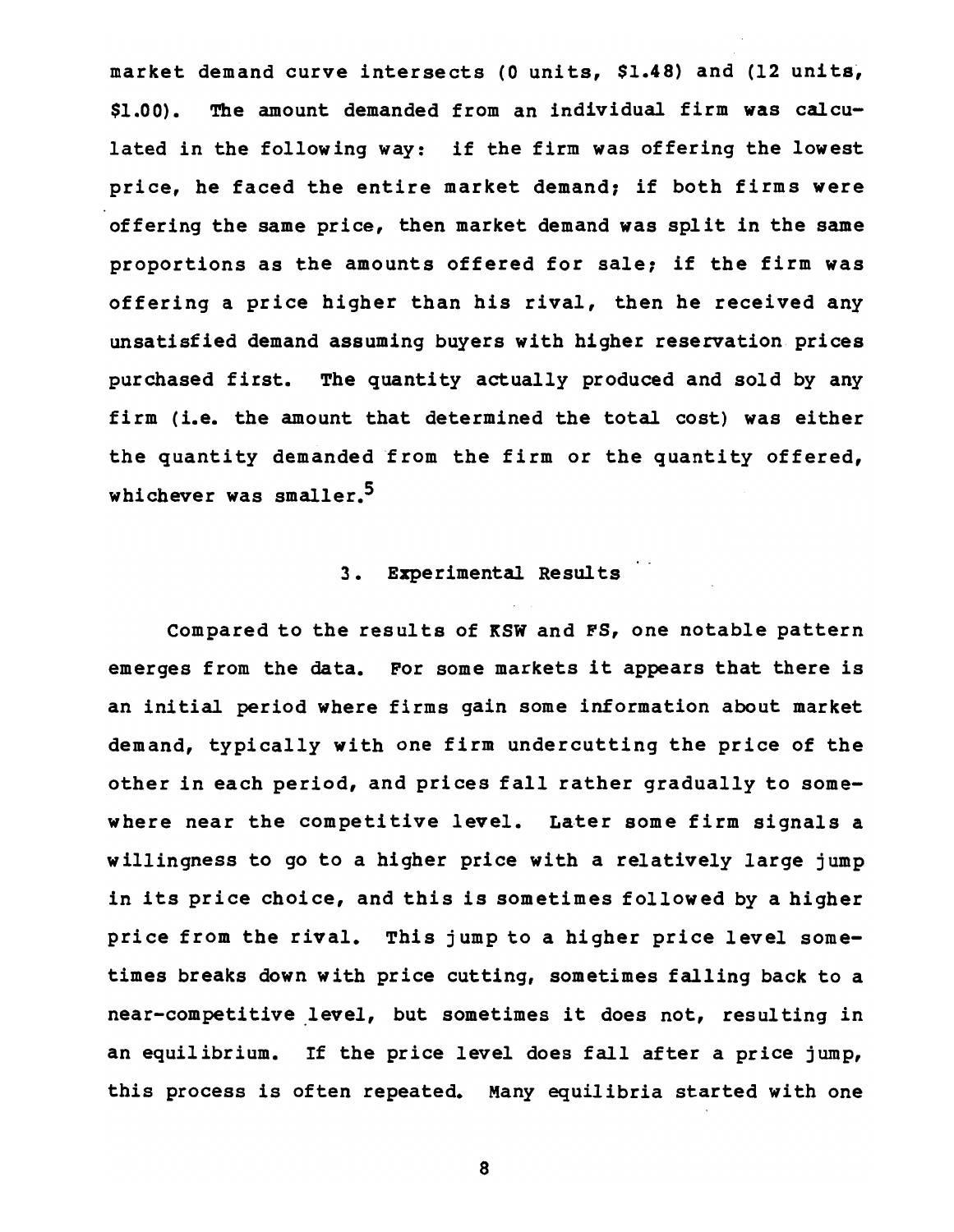market demand curve intersects (0 units, \$1.48) and (12 units, \$1.00). The amount demanded from an individual firm was calculated in the following way: if the firm was offering the lowest price, he faced the entire market demand, if both firms were offering the same price, then market demand was split in the same proportions as the amounts offered for sale, if the firm was offering a price higher than his rival, then he received any unsatisfied demand assuming buyers with higher reservation prices purchased first. The quantity actually produced and sold by any firm (i.e. the amount that determined the total cost) was either the quantity demanded from the firm or the quantity offered, whichever was smaller.5

# 3. Experimental Results

Compared to the results of KSW and FS, one notable pattern emerges from the data. For some markets it appears that there is an initial period where firms gain some information about market demand, typically with one firm undercutting the price of the other in each period, and prices fall rather gradually to somewhere near the competitive level. Later some firm signals a willingness to go to a higher price with a relatively large jump in its price choice, and this is sometimes followed by a higher price from the rival. This jump to a higher price level sometimes breaks down with price cutting, sometimes falling back to a near-competitive level, but sometimes it does not, resulting in an equilibrium. If the price level does fall after a price jump, this process is often repeated. Many equilibria started with one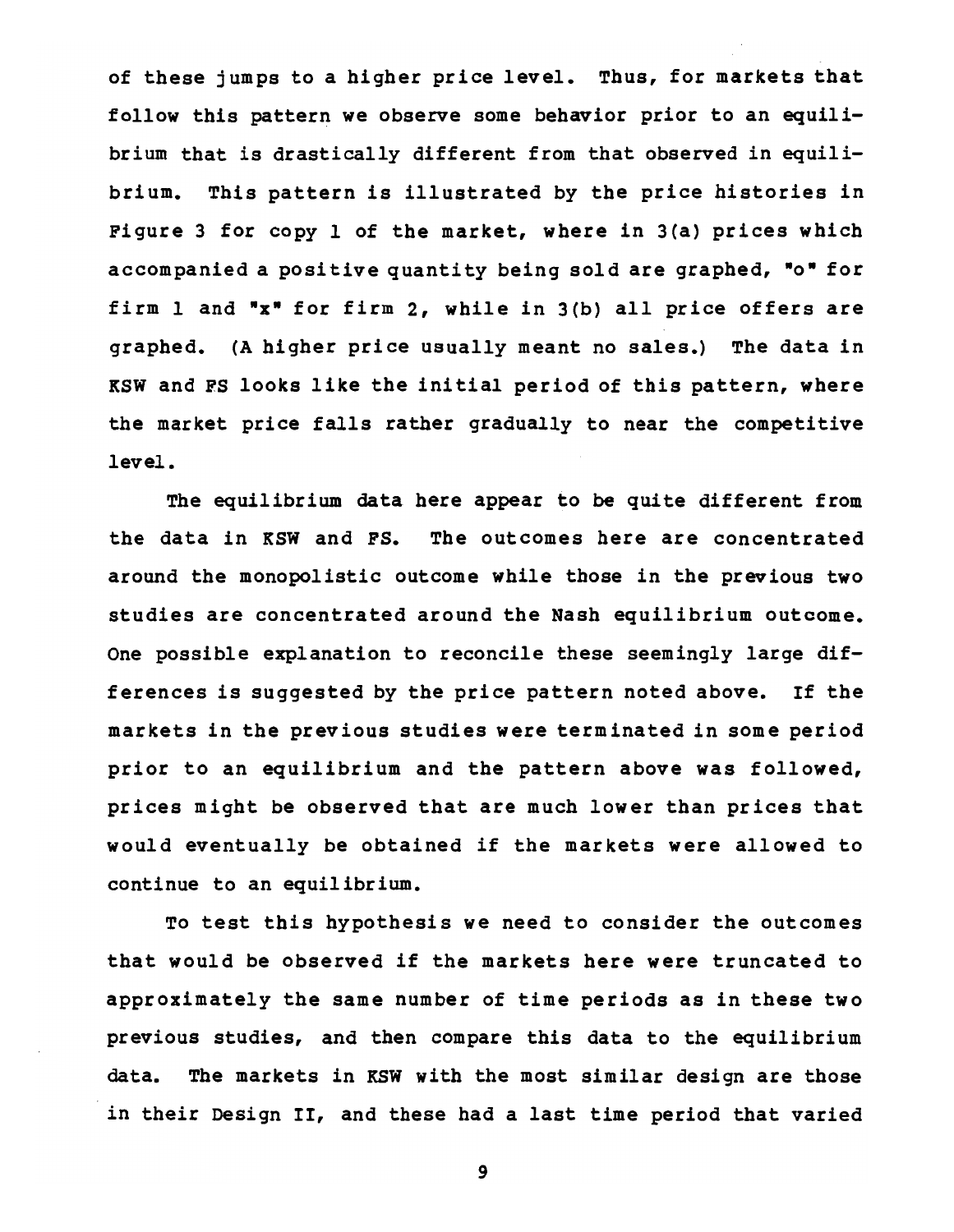of these jumps to a higher price level. Thus, for markets that follow this pattern we observe some behavior prior to an equilibrium that is drastically different from that observed in equilibrium. This pattern is illustrated by the price histories in Figure 3 for copy 1 of the market, where in 3(a) prices which accompanied a positive quantity being sold are graphed, "o" for firm 1 and "x" for firm 2, while in 3(b) all price offers are graphed. (A higher price usually meant no sales.) The data in KSW and FS looks like the initial period of this pattern, where the market price falls rather gradually to near the competitive level.

The equilibrium data here appear to be quite different from the data in KSW and FS. The outcomes here are concentrated around the monopolistic outcome while those in the previous two studies are concentrated around the Nash equilibrium outcome. One possible explanation to reconcile these seemingly large differences is suggested by the price pattern noted above. If the markets in the previous studies were terminated in some period prior to an equilibrium and the pattern above was followed, prices might be observed that are much lower than prices that would eventually be obtained if the markets were allowed to continue to an equilibrium.

To test this hypothesis we need to consider the outcomes that would be observed if the markets here were truncated to approximately the same number of time periods as in these two previous studies, and then compare this data to the equilibrium data. The markets in KSW with the most similar design are those in their Design II, and these had a last time period that varied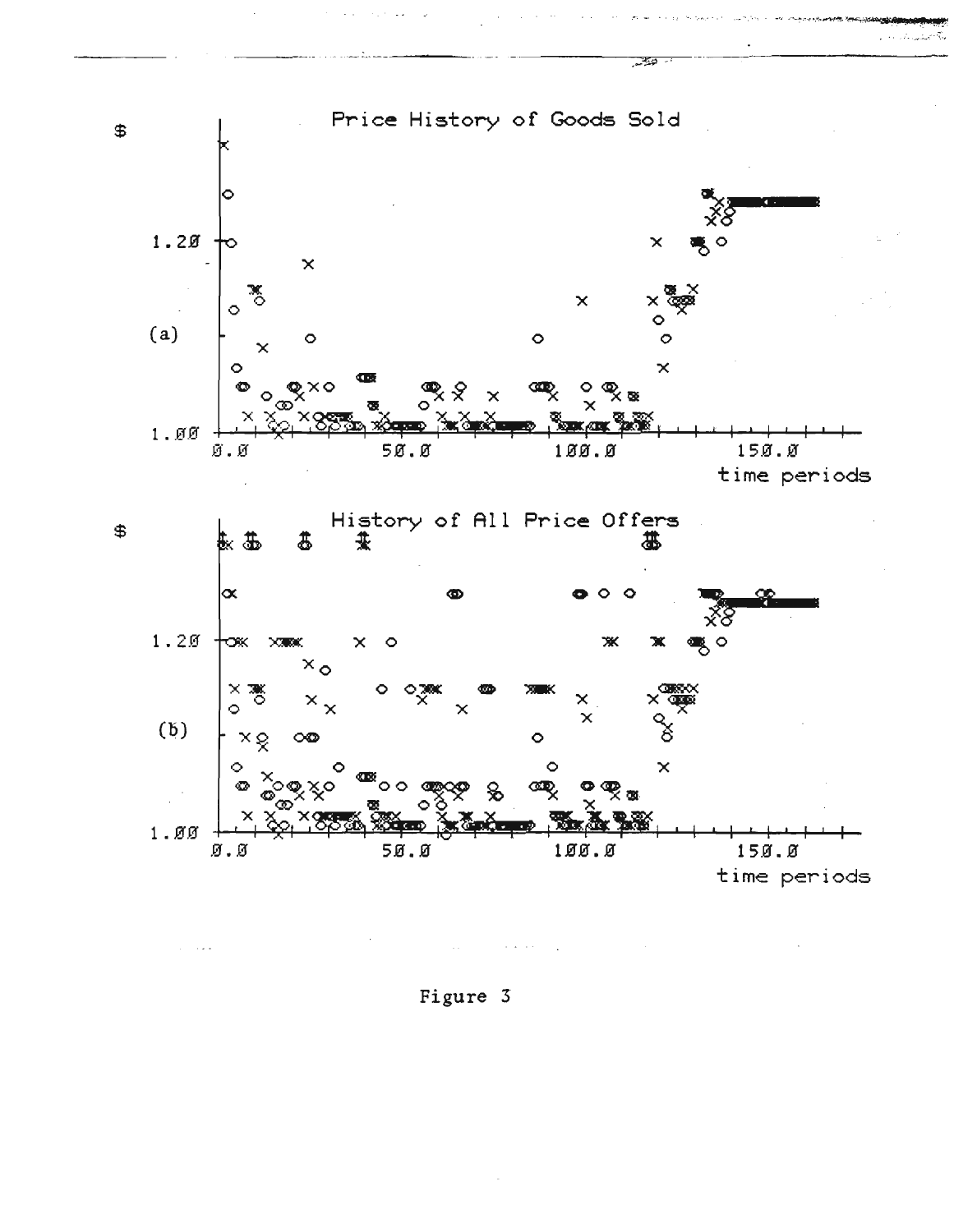

 $\sim$   $\sim$ 

Figure 3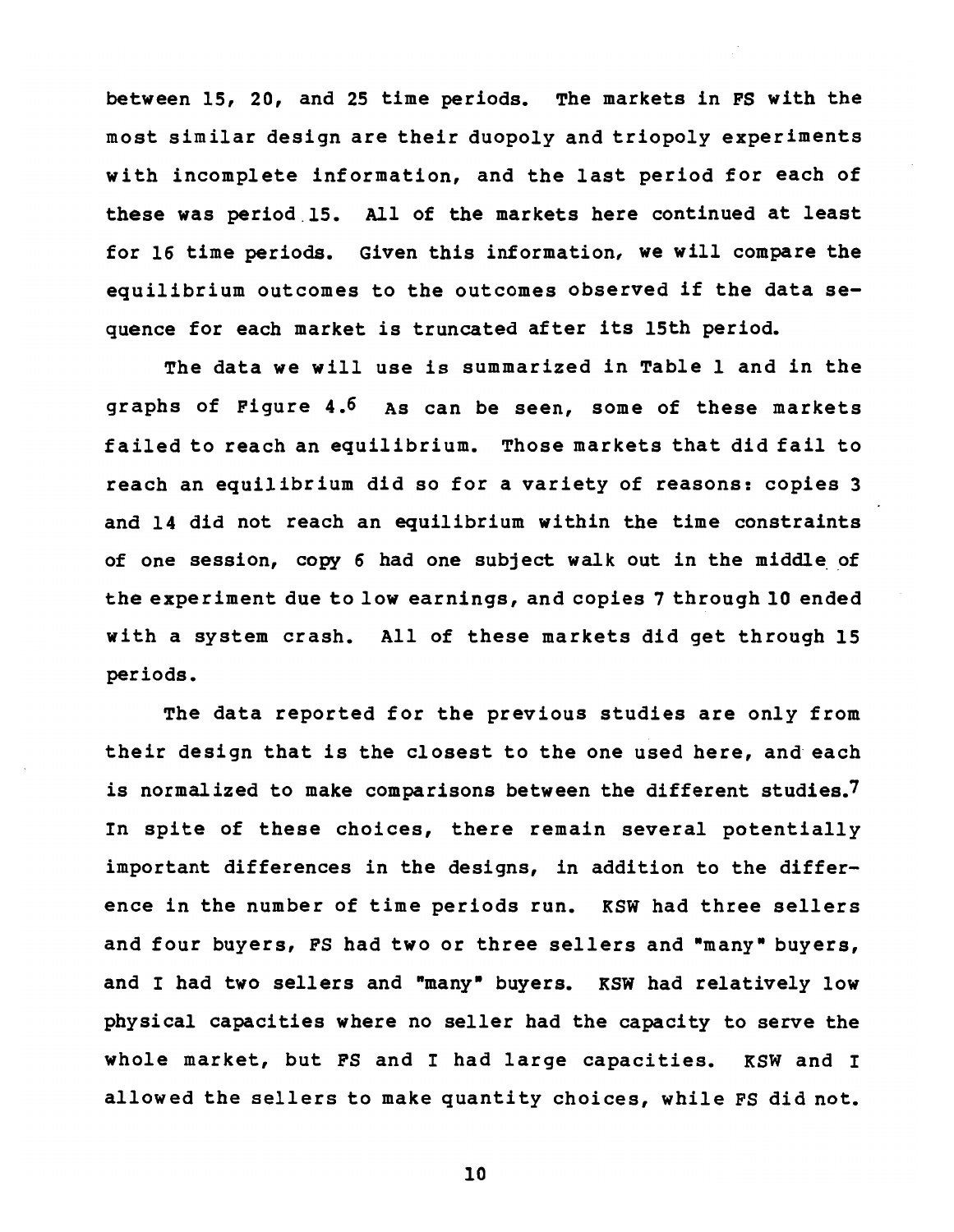between 15, 20, and 25 time periods. The markets in FS with the most similar design are their duopoly and triopoly experiments with incomplete information, and the last period for each of these was period.1S. All of the markets here continued at least for 16 time periods. Given this information, we will compare the equilibrium outcomes to the outcomes observed if the data sequence for each market is truncated after its 15th period.

The data we will use is summarized in Table 1 and in the graphs of Figure 4.6 As can be seen, some of these markets failed to reach an equilibrium. Those markets that did fail to reach an equilibrium did so for a variety of reasons: copies 3 and 14 did not reach an equilibrium within the time constraints of one session, copy 6 had one subject walk out in the middle of the experiment due to low earnings, and copies 7 through 10 ended with a system crash. All of these markets did get through 15 periods.

The data reported for the previous studies are only from their design that is the closest to the one used here, and each is normalized to make comparisons between the different studies.<sup>7</sup> In spite of these choices, there remain several potentially important differences in the designs, in addition to the difference in the number of time periods run. KSW had three sellers and four buyers, FS had two or three sellers and "many" buyers, and I had two sellers and "many" buyers. KSW had relatively low physical capacities where no seller had the capacity to serve the whole market, but FS and I had large capacities. KSW and I allowed the sellers to make quantity choices, while FS did not.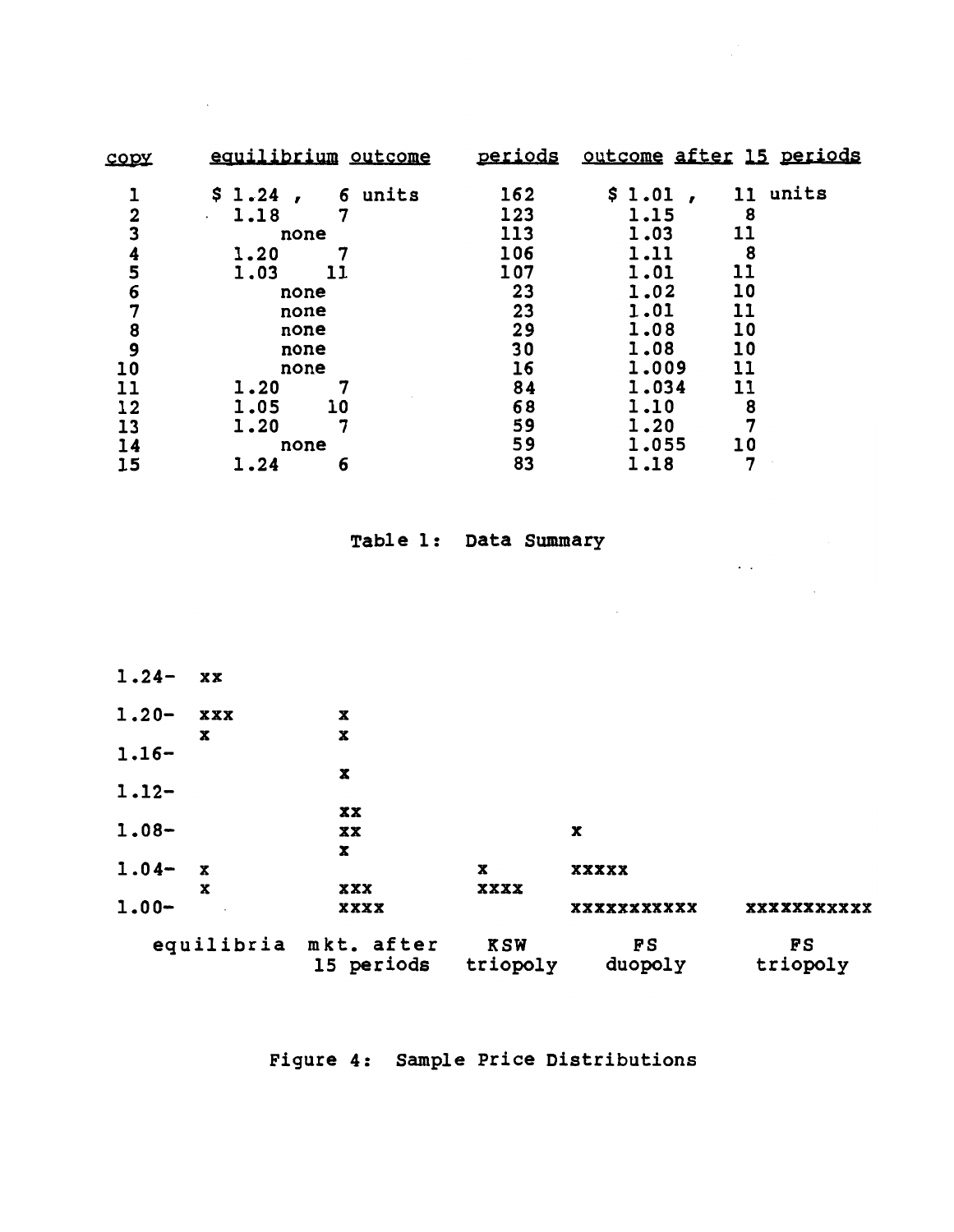| copy           | equilibrium outcome               | periods |        | outcome after 15 periods |
|----------------|-----------------------------------|---------|--------|--------------------------|
|                | 6 units<br>$$1.24$ ,              | 162     | \$1.01 | units<br>11              |
| $\overline{2}$ | 7<br>1.18<br>$\ddot{\phantom{0}}$ | 123     | 1.15   | 8                        |
| 3              | none                              | 113     | 1.03   | 11                       |
| 4              | 1.20                              | 106     | 1.11   | 8                        |
| 5              | 11<br>1.03                        | 107     | 1.01   | 11                       |
| 6              | none                              | 23      | 1.02   | 10                       |
| 7              | none                              | 23      | 1.01   | 11                       |
| 8              | none                              | 29      | 1.08   | 10                       |
| 9              | none                              | 30      | 1.08   | 10                       |
| 10             | none                              | 16      | 1.009  | 11                       |
| 11             | 1.20                              | 84      | 1.034  | 11                       |
| 12             | 10<br>1.05                        | 68      | 1.10   | 8                        |
| 13             | 7<br>1.20                         | 59      | 1.20   |                          |
| 14             | none                              | 59      | 1.055  | 10                       |
| 15             | 1.24<br>6                         | 83      | 1.18   |                          |

# Table 1: Data Summary

 $\hat{r}$  ,  $\hat{r}$ 

 $\mathcal{L}^{\text{max}}_{\text{max}}$  , where  $\mathcal{L}^{\text{max}}_{\text{max}}$ 

 $\sim$   $\sim$ 

| $1.24-$  | XX                |                                     |                        |               |                       |
|----------|-------------------|-------------------------------------|------------------------|---------------|-----------------------|
| $1.20 -$ | XXX               | X                                   |                        |               |                       |
| $1.16-$  | X                 | $\pmb{\mathbf{x}}$                  |                        |               |                       |
| $1.12-$  |                   | X                                   |                        |               |                       |
|          |                   | XX                                  |                        |               |                       |
| $1.08 -$ |                   | XX<br>X                             |                        | X             |                       |
| $1.04-$  | $\mathbf{x}$<br>x | XXX                                 | X<br><b>XXXX</b>       | <b>XXXXX</b>  |                       |
| $1.00 -$ |                   | XXXX                                |                        | XXXXXXXXXXX   | xxxxxxxxxxx           |
|          |                   | equilibria mkt. after<br>15 periods | <b>KSW</b><br>triopoly | FS<br>duopoly | <b>FS</b><br>triopoly |

Figure 4: Sample Price Distributions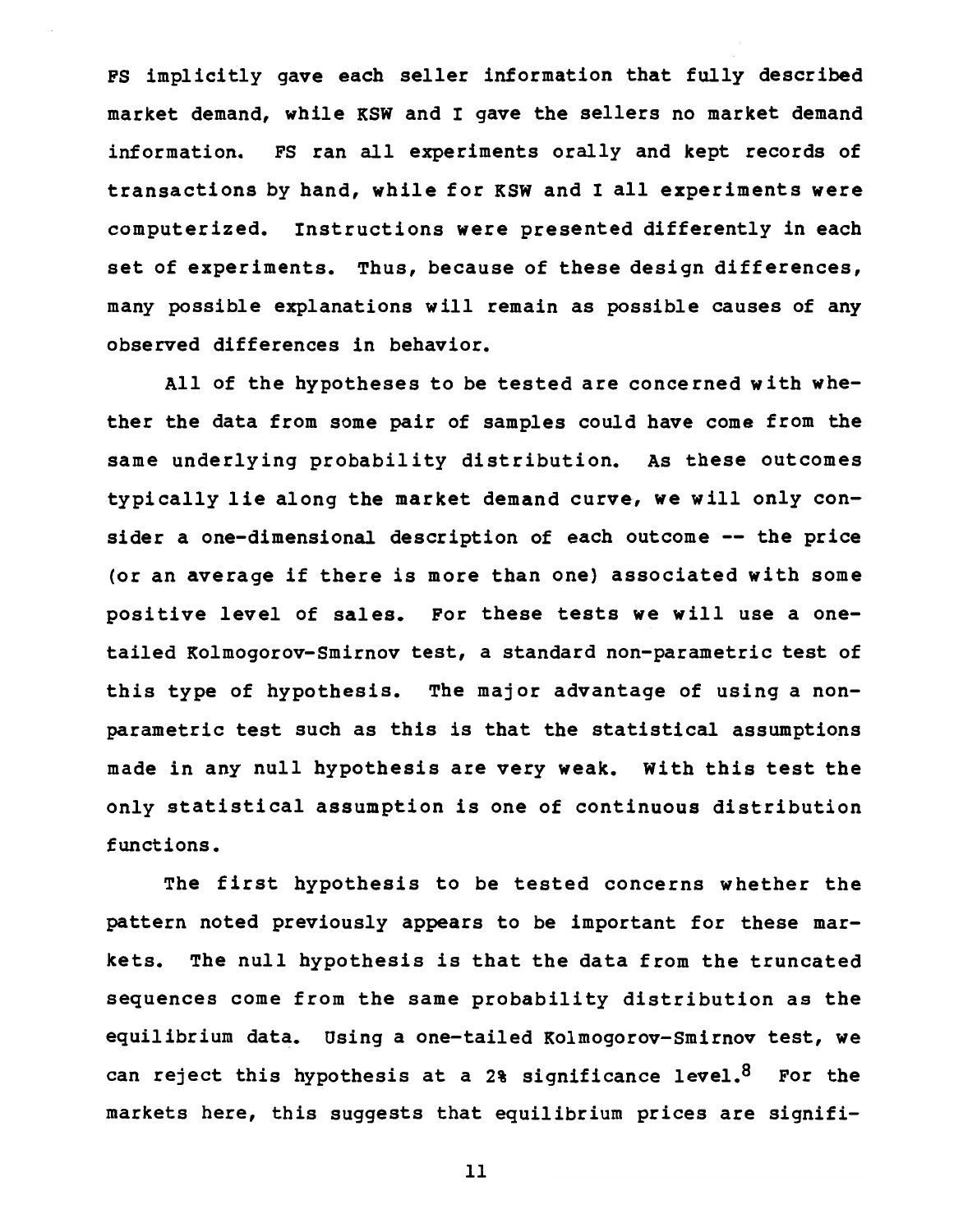FS implicitly gave each seller information that fully described market demand, while KSW and I gave the sellers no market demand information. FS ran all experiments orally and kept records of transactions by hand, while for KSW and I all experiments were computerized. Instructions were presented differently in each set of experiments. Thus, because of these design differences, many possible explanations will remain as possible causes of any observed differences in behavior.

All of the hypotheses to be tested are conce rned with whether the data from some pair of samples could have come from the same underlying probability distribution. As these outcomes typically lie along the market demand curve, we will only consider a one-dimensional description of each outcome -- the price (or an average if there is more than one) associated with some positive level of sales. For these tests we will use a onetailed Kolmogorov-Smirnov test, a standard non-parametric test of this type of hypothesis. The major advantage of using a nonparametric test such as this is that the statistical assumptions made in any null hypothesis are very weak. with this test the only statistical assumption is one of continuous distribution functions.

The first hypothesis to be tested concerns whether the pattern noted previously appears to be important for these markets. The null hypothesis is that the data from the truncated sequences come from the same probability distribution as the equilibrium data. Using a one-tailed Kolmogorov-Smirnov test, we can reject this hypothesis at a 2% significance level. $8$  For the markets here, this suggests that equilibrium prices are signifi-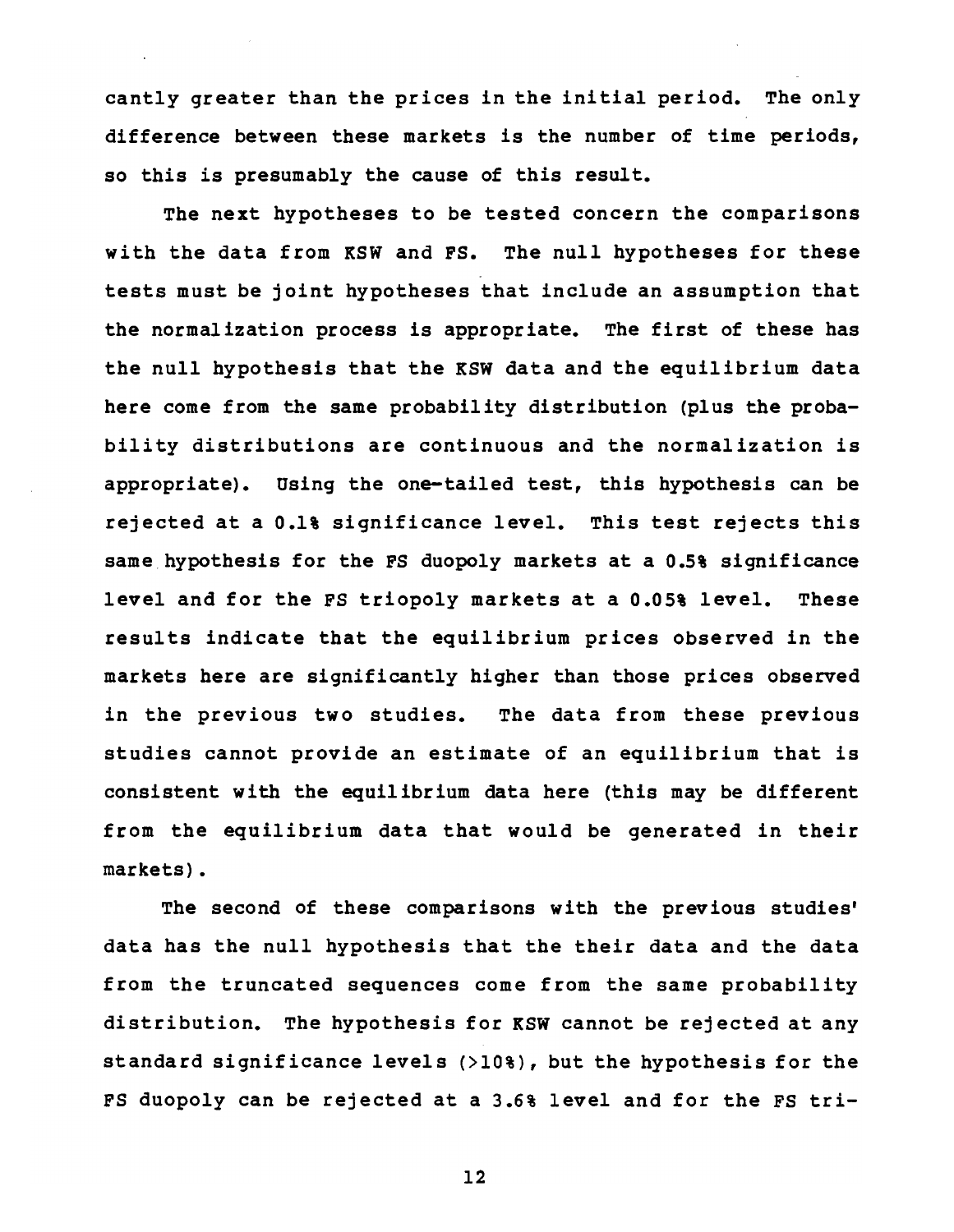cantly greater than the prices in the initial period. The only difference between these markets is the number of time periods, so this is presumably the cause of this result.

The next hypotheses to be tested concern the comparisons with the data from KSW and FS. The null hypotheses for these tests must be joint hypotheses that include an assumption that the normalization process is appropriate. The first of these has the null hypothesis that the KSW data and the equilibrium data here come from the same probability distribution (plus the probability distributions are continuous and the normalization is appropriate). Using the one-tailed test, this hypothesis can be rejected at a 0.1% significance level. This test rejects this same hypothesis for the FS duopoly markets at a 0.5% significance level and for the FS triopoly markets at a 0.05% level. These results indicate that the equilibrium prices observed in the markets here are significantly higher than those prices observed in the previous two studies. The data from these previous studies cannot provide an estimate of an equilibrium that is consistent with the equilibrium data here (this may be different from the equilibrium data that would be generated in their markets).

The second of these comparisons with the previous studies' data has the null hypothesis that the their data and the data from the truncated sequences come from the same probability distribution. The hypothesis for KSW cannot be rejected at any standard significance levels (>10%), but the hypothesis for the FS duopoly can be rejected at a 3.6% level and for the FS tri-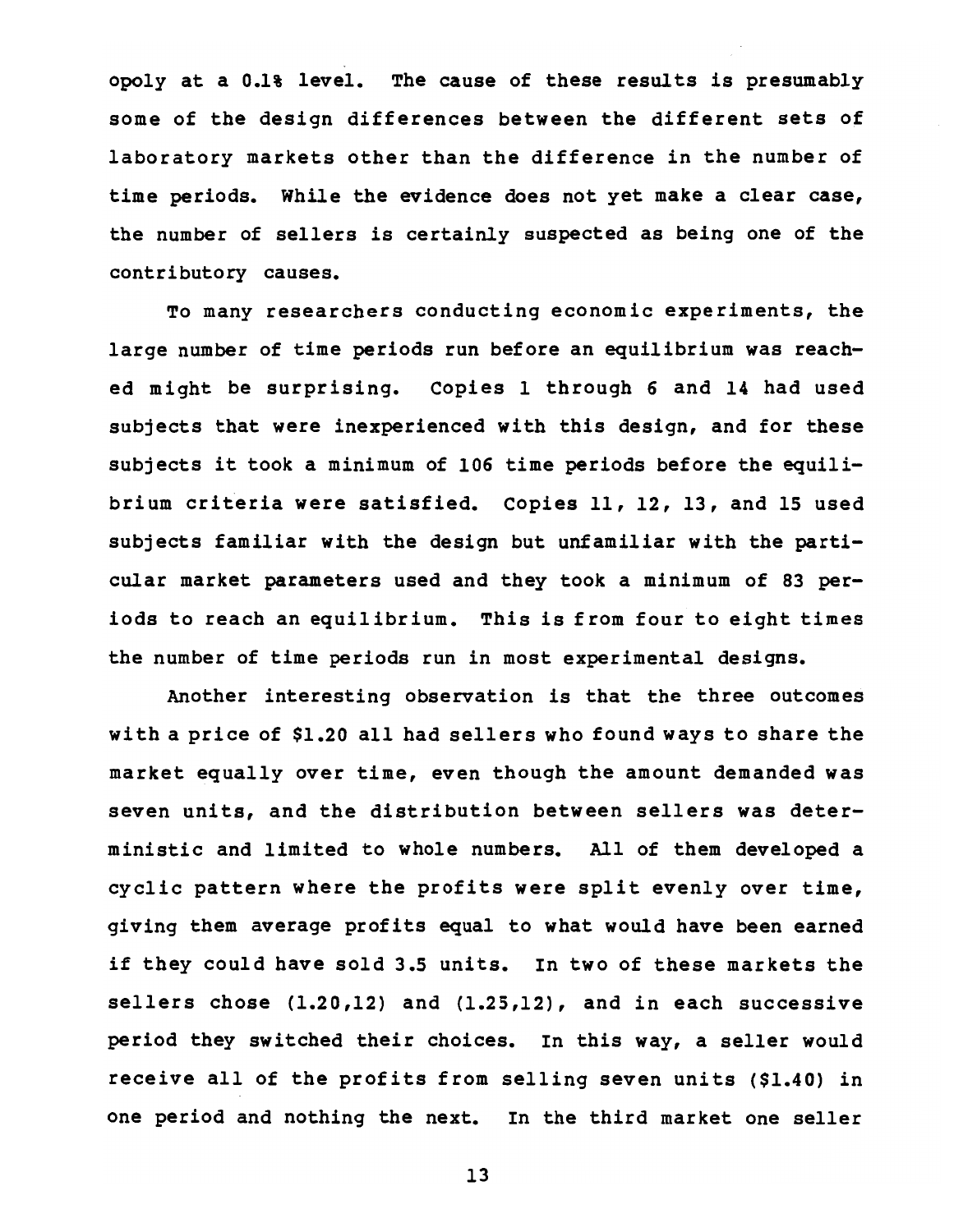opoly at a 0.1% level. The cause of these results is presumably some of the design differences between the different sets of laboratory markets other than the difference in the number of time periods. While the evidence does not yet make a clear case, the number of sellers is certainly suspected as being one of the contributory causes.

To many researchers conducting economic experiments, the large number of time periods run before an equilibrium was reached might be surprising. Copies 1 through 6 and 14 had used subjects that were inexperienced with this design, and for these subjects it took a minimum of 106 time periods before the equilibrium criteria were satisfied. Copies 11, 12, 13, and 15 used subjects familiar with the design but unfamiliar with the particular market parameters used and they took a minimum of 83 periods to reach an equilibrium. This is from four to eight times the number of time periods run in most experimental designs.

Another interesting observation is that the three outcomes with a price of \$1.20 all had sellers who found ways to share the market equally over time, even though the amount demanded was seven units, and the distribution between sellers was deterministic and limited to whole numbers. All of them developed a cyclic pattern where the profits were split evenly over time, giving them average profits equal to what would have been earned if they could have sold 3.5 units. In two of these markets the sellers chose (1.20,12) and (1.25,12), and in each successive period they switched their choices. In this way, a seller would receive all of the profits from selling seven units (\$1.40) in one period and nothing the next. In the third market one seller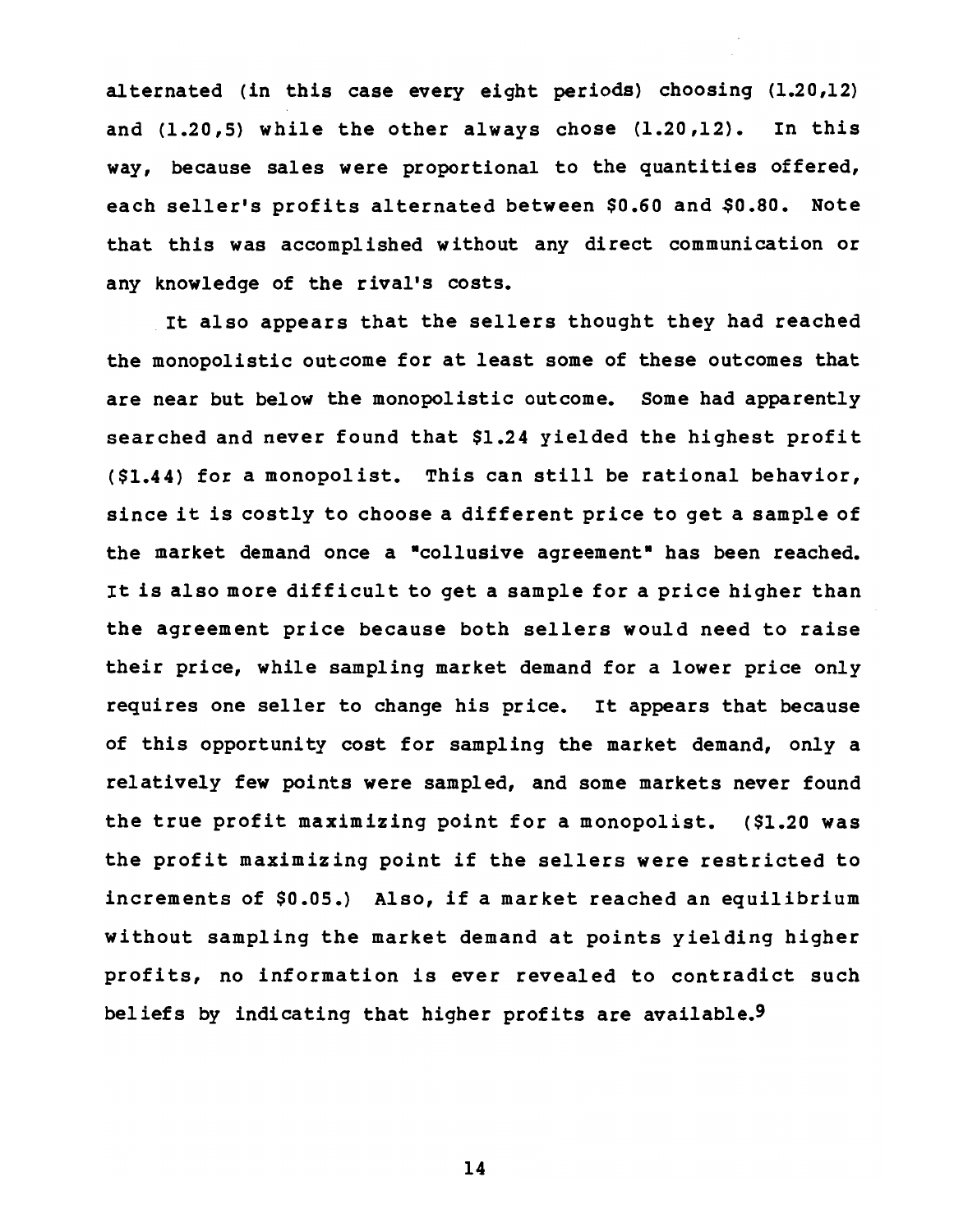al ternated (in this case every eight periods) choosing (1.20,12) and (1.20,5) while the other always chose (1.20,12). In this way, because sales were proportional to the quantities offered, each seller's profits alternated between \$0.60 and \$0.80. Note that this was accomplished without any direct communication or any knowledge of the rival's costs.

It also appears that the sellers thought they had reached the monopolistic outcome for at least some of these outcomes that are near but below the monopolistic outcome. Some had apparently searched and never found that \$1.24 yielded the highest profit (\$1.44) for a monopolist. This can still be rational behavior, since it is costly to choose a different price to get a sample of the market demand once a "collusive agreement" has been reached. It is also more difficult to get a sample for a price higher than the agreement price because both sellers would need to raise their price, while sampling market demand for a lower price only requires one seller to change his price. It appears that because of this opportunity cost for sampling the market demand, only a relatively few points were sampled, and some markets never found the true profit maximizing point for a monopolist. (\$1.20 was the profit maximizing point if the sellers were restricted to increments of \$0.05.) Also, if a market reached an equilibrium without sampling the market demand at points yielding higher profits, no information is ever revealed to contradict such beliefs by indicating that higher profits are available.9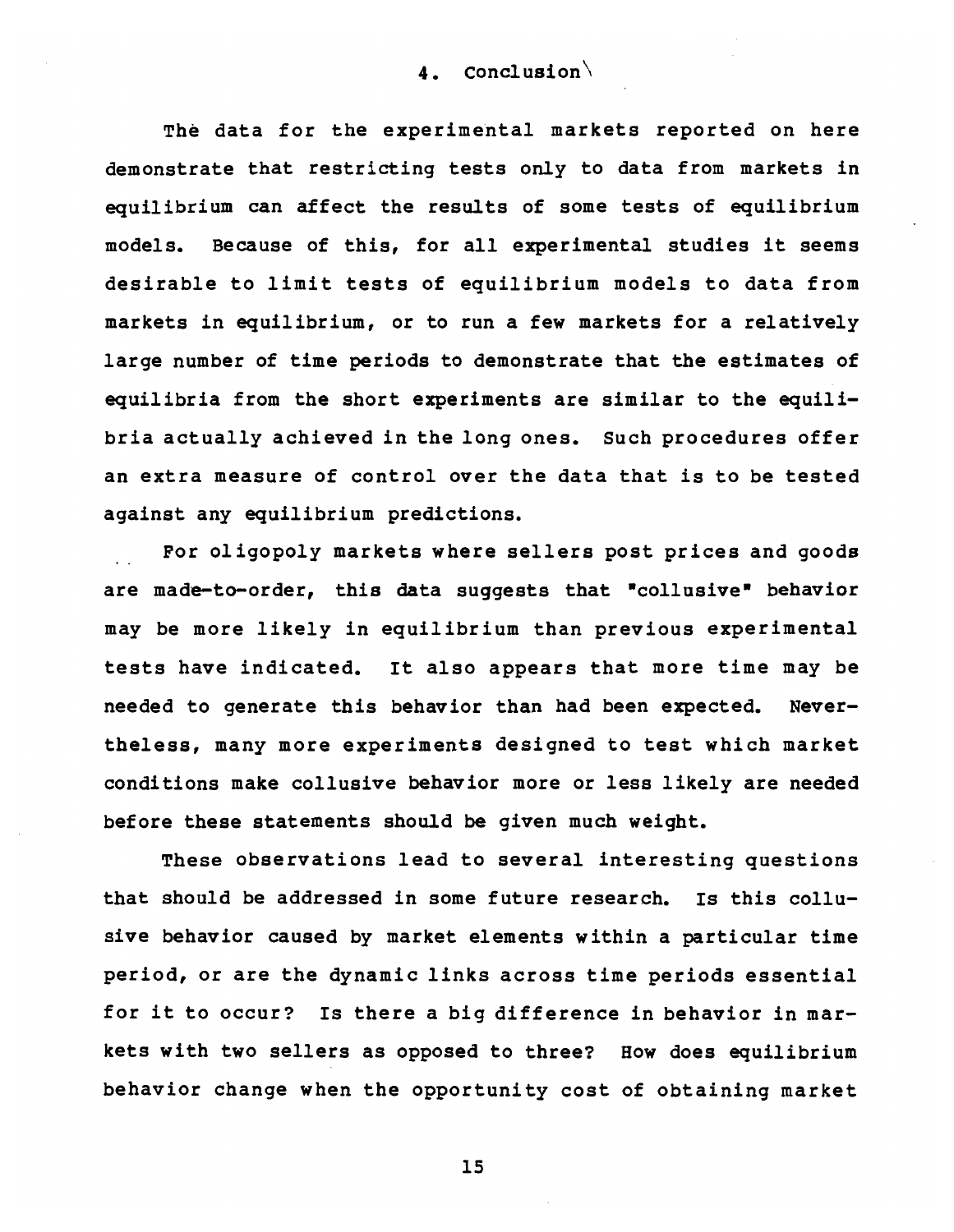4. Conclusion $\backslash$ 

The data for the experimental markets reported on here demonstrate that restricting tests only to data from markets in equilibrium can affect the results of some tests of equilibrium models. Because of this, for all experimental studies it seems desirable to limit tests of equilibrium models to data from markets in equilibrium, or to run a few markets for a relatively large number of time periods to demonstrate that the estimates of equilibria from the short experiments are similar to the equilibria actually achieved in the long ones. Such procedures offer an extra measure of control over the data that is to be tested against any equilibrium predictions.

For oligopoly markets where sellers post prices and goods are made-to-order, this data suggests that "collusive" behavior may be more likely in equilibrium than previous experimental tests have indicated. It also appears that more time may be needed to generate this behavior than had been expected. Nevertheless, many more experiments designed to test which market conditions make collusive behavior more or less likely are needed before these statements should be given much weight.

These observations lead to several interesting questions that should be addressed in some future research. Is this collusive behavior caused by market elements within a particular time period, or are the dynamic links across time periods essential for it to occur? Is there a big difference in behavior in markets with two sellers as opposed to three? How does equilibrium behavior change when the opportunity cost of obtaining market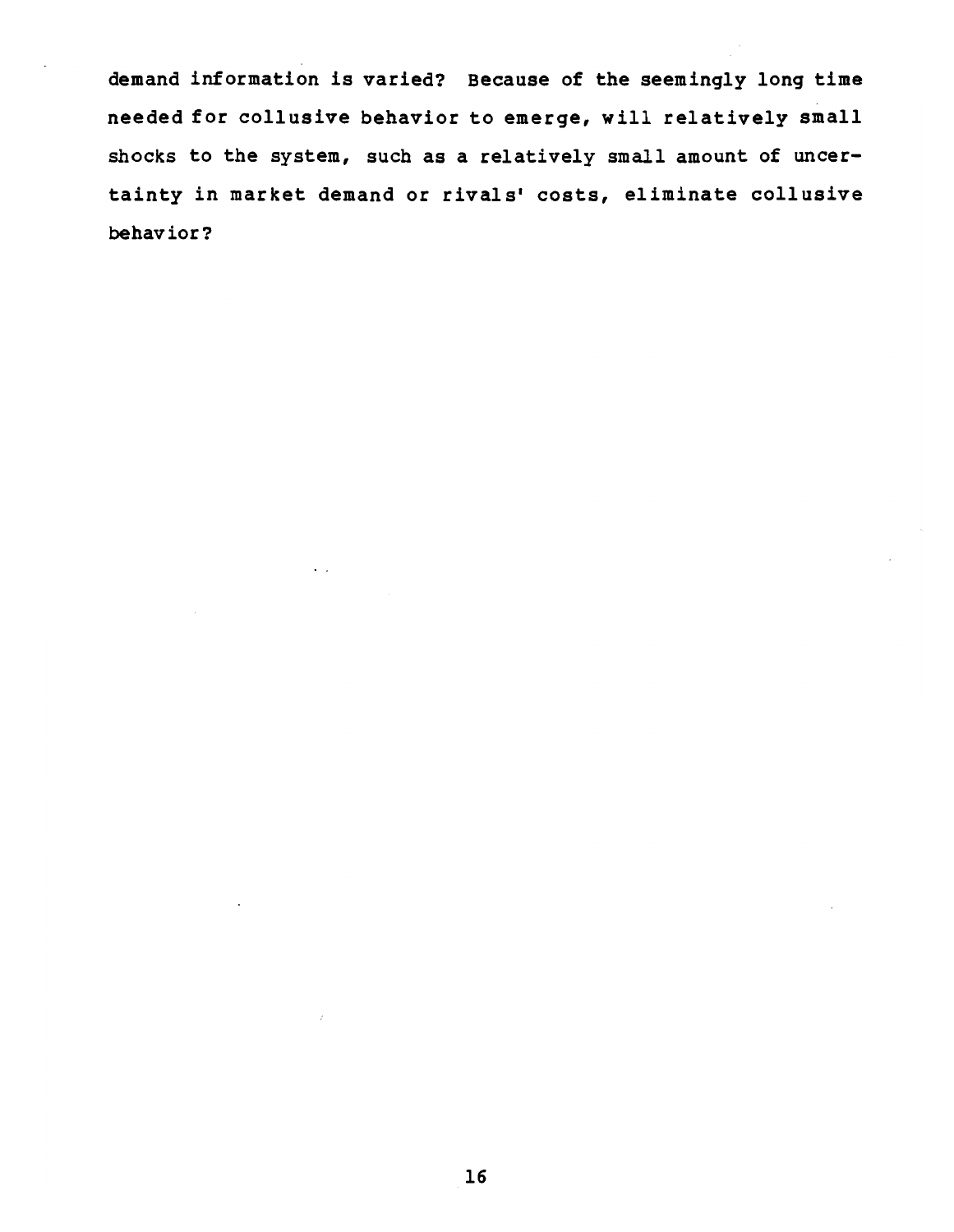demand information is varied? Because of the seemingly long time needed for collusive behavior to emerge, will relatively small shocks to the system, such as a relatively small amount of uncertainty in market demand or rivals' costs, eliminate collusive behavior?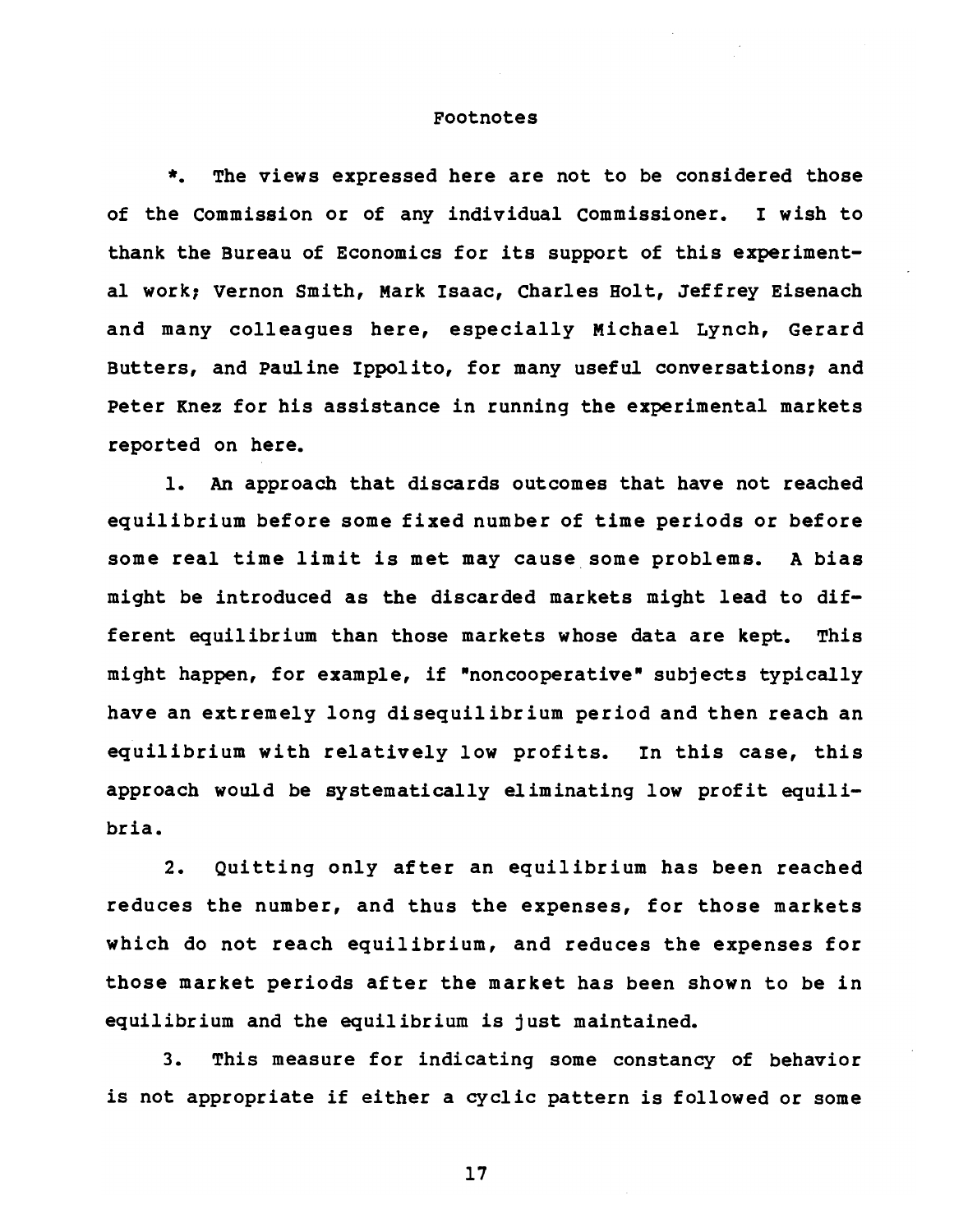#### Footnotes

\*. The views expressed here are not to be considered those of the Commission or of any individual Commissioner. I wish to thank the Bureau of Economics for its support of this experimental work; Vernon Smith, Mark Isaac, Charles Holt, Jeffrey Eisenach and many colleagues here, especially Michael Lynch, Gerard Butters, and Pauline Ippolito, for many useful conversations; and Peter Knez for his assistance in running the experimental markets reported on here.

1. An approach that discards outcomes that have not reached equilibrium before some fixed number of time periods or before some real time limit is met may cause some problems. A bias might be introduced as the discarded markets might lead to different equilibrium than those markets whose data are kept. This might happen, for example, if "noncooperative" subjects typically have an extremely long disequilibrium period and then reach an equilibrium with relatively low profits. In this case, this approach would be systematically eliminating low profit equilibria.

2. Quitting only after an equilibrium has been reached reduces the number, and thus the expenses, for those markets which do not reach equilibrium, and reduces the expenses for those market periods after the market has been shown to be in equilibrium and the equilibrium is just maintained.

3. This measure for indicating some constancy of behavior is not appropriate if either a cyclic pattern is followed or some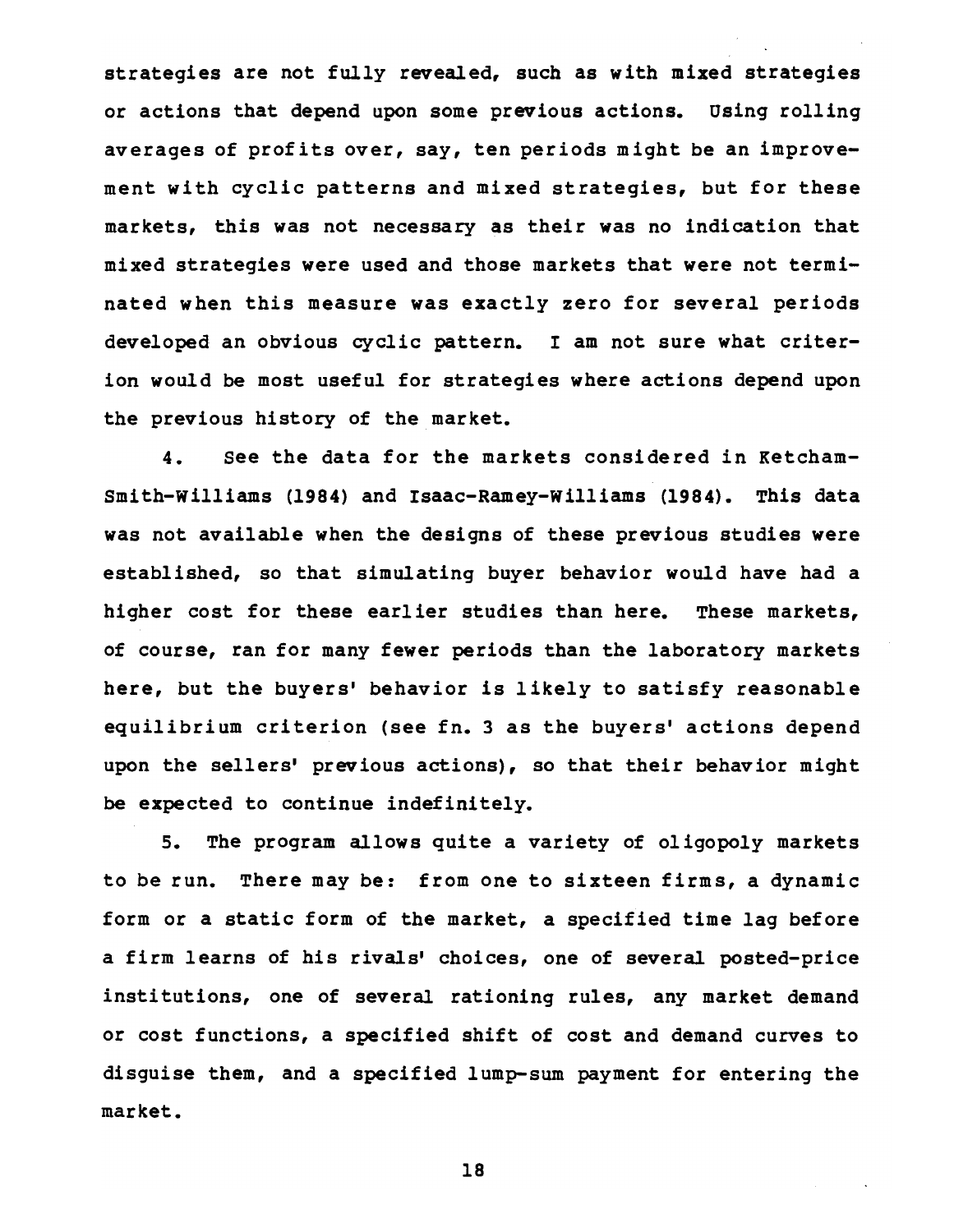strategies are not fully revealed, such as with mixed strategies or actions that depend upon some previous actions. Using rolling averages of profits over, say, ten periods might be an improvement with cyclic patterns and mixed strategies, but for these markets, this was not necessary as their was no indication that mixed strategies were used and those markets that were not terminated when this measure was exactly zero for several periods developed an obvious cyclic pattern. I am not sure what criterion would be most useful for strategies where actions depend upon the previous history of the market.

4. See the data for the markets considered in Ketcham-Smith-williams (1984) and Isaac-Ramey-Williams (1984). This data was not available when the designs of these previous studies were established, so that simulating buyer behavior would have had a higher cost for these earlier studies than here. These markets, of course, ran for many fewer periods than the laboratory markets here, but the buyers' behavior is likely to satisfy reasonable equilibrium criterion (see fn. 3 as the buyers' actions depend upon the sellers' previous actions), so that their behavior might be expected to continue indefinitely.

5. The program allows quite a variety of oligopoly markets to be run. There may be: from one to sixteen firms, a dynamic form or a static form of the market, a specified time lag before a firm learns of his rivals' choices, one of several posted-price institutions, one of several rationing rules, any market demand or cost functions, a specified shift of cost and demand curves to disguise them, and a specified lump-sum payment for entering the market.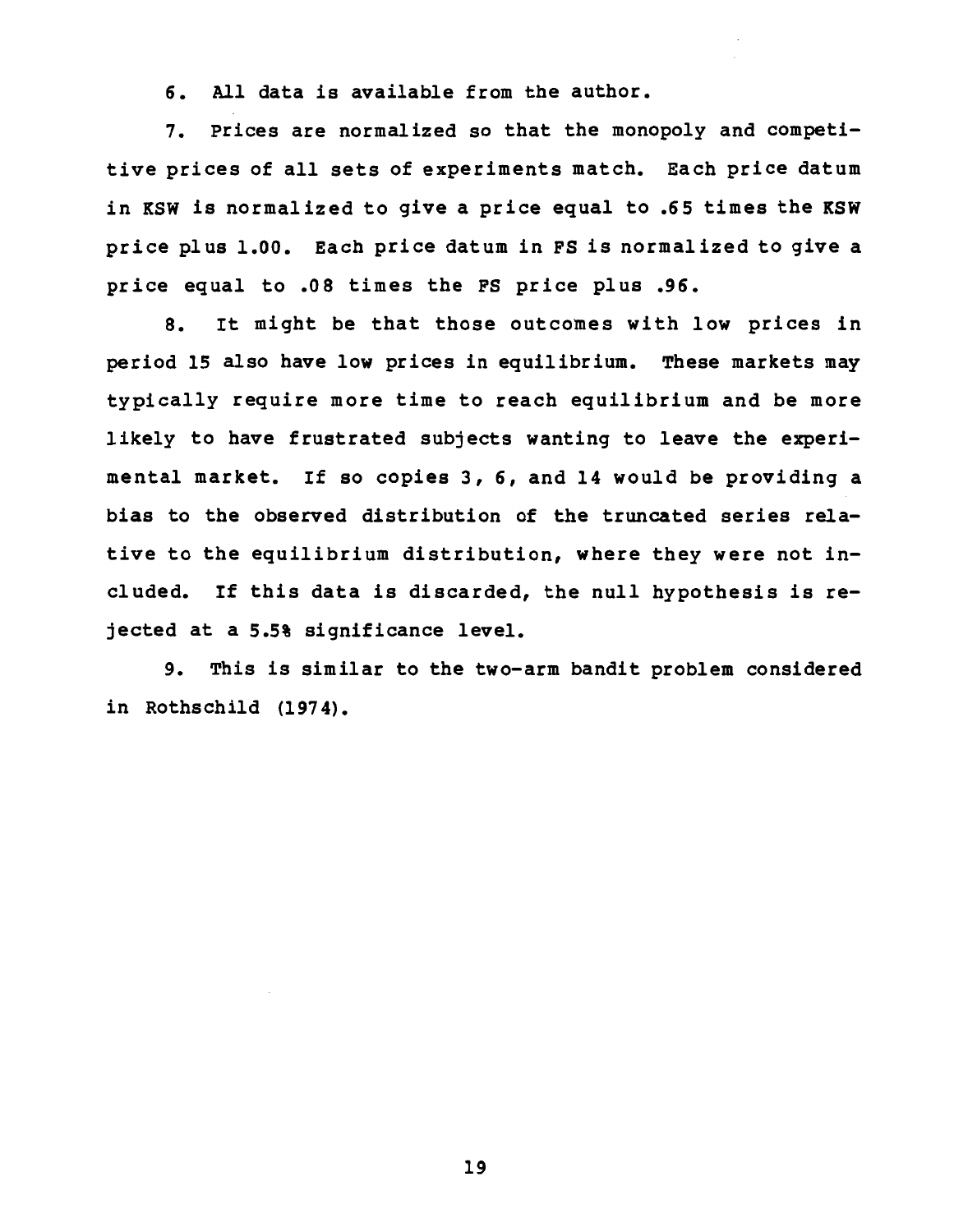6. All data is available from the author.

7. Prices are normalized so that the monopoly and competitive prices of all sets of experiments match. Each price datum in KSW is normalized to give a price equal to .65 times the KSW price plus 1.00. Each price datum in FS is normalized to give a price equal to .08 times the FS price plus .96.

8. It might be that those outcomes with low prices in period 15 also have low prices in equilibrium. These markets may typically require more time to reach equilibrium and be more likely to have frustrated subjects wanting to leave the experimental market. If so copies 3, 6, and 14 would be providing a bias to the observed distribution of the truncated series relative to the equilibrium distribution, where they were not included. If this data is discarded, the null hypothesis is rejected at a 5.5% significance level.

9. This is similar to the two-arm bandit problem considered in Rothschild (1974).